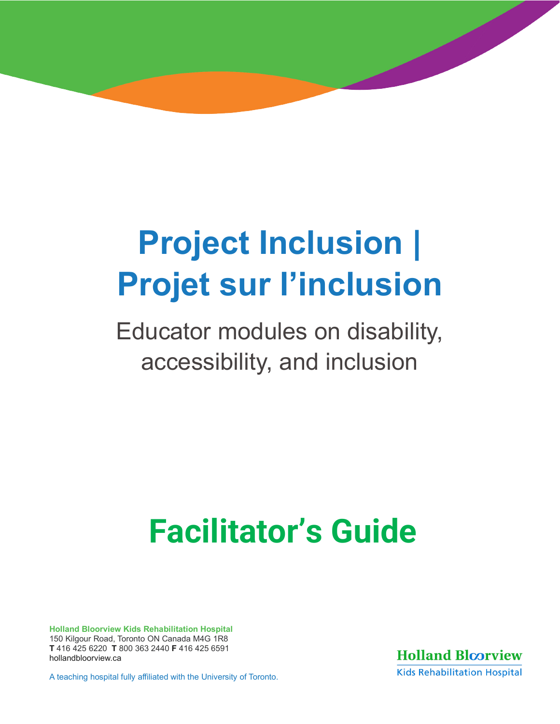# **| Project Inclusion Projet sur l'inclusion**

Educator modules on disability, accessibility, and inclusion

# **Facilitator's Guide**

**Holland Bloorview Kids Rehabilitation Hospital**  150 Kilgour Road, Toronto ON Canada M4G 1R8 **T** 416 425 6220 **T** 800 363 2440 **F** 416 425 6591 [hollandbloorview.ca](https://www.hollandbloorview.ca/)

A teaching hospital fully affiliated with the University of Toronto.

**Holland Bloorview Kids Rehabilitation Hospital**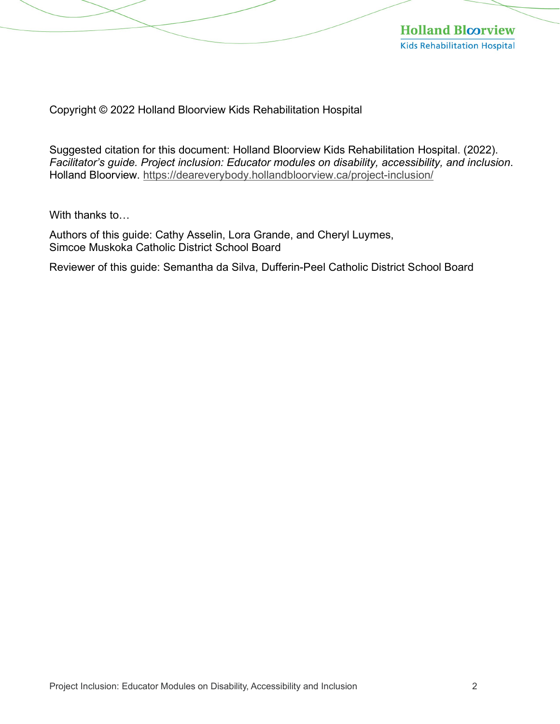

Copyright © 2022 Holland Bloorview Kids Rehabilitation Hospital

Suggested citation for this document: Holland Bloorview Kids Rehabilitation Hospital. (2022). *Facilitator's guide. Project inclusion: Educator modules on disability, accessibility, and inclusion*. Holland Bloorview. <https://deareverybody.hollandbloorview.ca/project-inclusion/>

With thanks to…

Authors of this guide: Cathy Asselin, Lora Grande, and Cheryl Luymes, Simcoe Muskoka Catholic District School Board

Reviewer of this guide: Semantha da Silva, Dufferin-Peel Catholic District School Board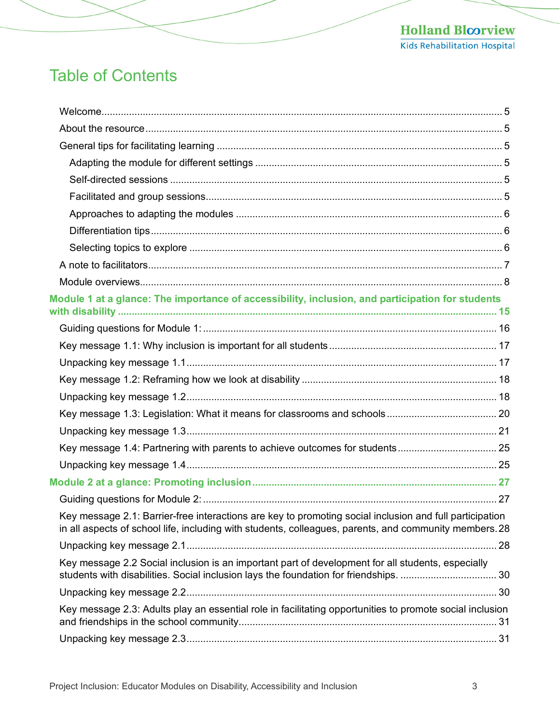# Table of Contents

| Module 1 at a glance: The importance of accessibility, inclusion, and participation for students                                                                                                                  |  |
|-------------------------------------------------------------------------------------------------------------------------------------------------------------------------------------------------------------------|--|
|                                                                                                                                                                                                                   |  |
|                                                                                                                                                                                                                   |  |
|                                                                                                                                                                                                                   |  |
|                                                                                                                                                                                                                   |  |
|                                                                                                                                                                                                                   |  |
|                                                                                                                                                                                                                   |  |
|                                                                                                                                                                                                                   |  |
|                                                                                                                                                                                                                   |  |
|                                                                                                                                                                                                                   |  |
|                                                                                                                                                                                                                   |  |
|                                                                                                                                                                                                                   |  |
| Key message 2.1: Barrier-free interactions are key to promoting social inclusion and full participation<br>in all aspects of school life, including with students, colleagues, parents, and community members. 28 |  |
|                                                                                                                                                                                                                   |  |
| Key message 2.2 Social inclusion is an important part of development for all students, especially                                                                                                                 |  |
|                                                                                                                                                                                                                   |  |
| Key message 2.3: Adults play an essential role in facilitating opportunities to promote social inclusion                                                                                                          |  |
|                                                                                                                                                                                                                   |  |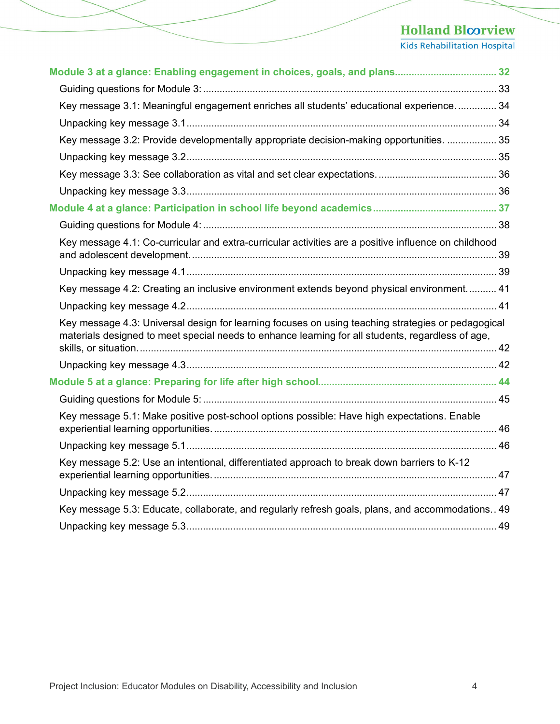| Module 3 at a glance: Enabling engagement in choices, goals, and plans 32                                                                                                                               |  |
|---------------------------------------------------------------------------------------------------------------------------------------------------------------------------------------------------------|--|
|                                                                                                                                                                                                         |  |
| Key message 3.1: Meaningful engagement enriches all students' educational experience 34                                                                                                                 |  |
|                                                                                                                                                                                                         |  |
| Key message 3.2: Provide developmentally appropriate decision-making opportunities.  35                                                                                                                 |  |
|                                                                                                                                                                                                         |  |
|                                                                                                                                                                                                         |  |
|                                                                                                                                                                                                         |  |
|                                                                                                                                                                                                         |  |
|                                                                                                                                                                                                         |  |
| Key message 4.1: Co-curricular and extra-curricular activities are a positive influence on childhood                                                                                                    |  |
|                                                                                                                                                                                                         |  |
| Key message 4.2: Creating an inclusive environment extends beyond physical environment 41                                                                                                               |  |
|                                                                                                                                                                                                         |  |
| Key message 4.3: Universal design for learning focuses on using teaching strategies or pedagogical<br>materials designed to meet special needs to enhance learning for all students, regardless of age, |  |
|                                                                                                                                                                                                         |  |
|                                                                                                                                                                                                         |  |
|                                                                                                                                                                                                         |  |
| Key message 5.1: Make positive post-school options possible: Have high expectations. Enable                                                                                                             |  |
|                                                                                                                                                                                                         |  |
| Key message 5.2: Use an intentional, differentiated approach to break down barriers to K-12                                                                                                             |  |
|                                                                                                                                                                                                         |  |
| Key message 5.3: Educate, collaborate, and regularly refresh goals, plans, and accommodations 49                                                                                                        |  |
|                                                                                                                                                                                                         |  |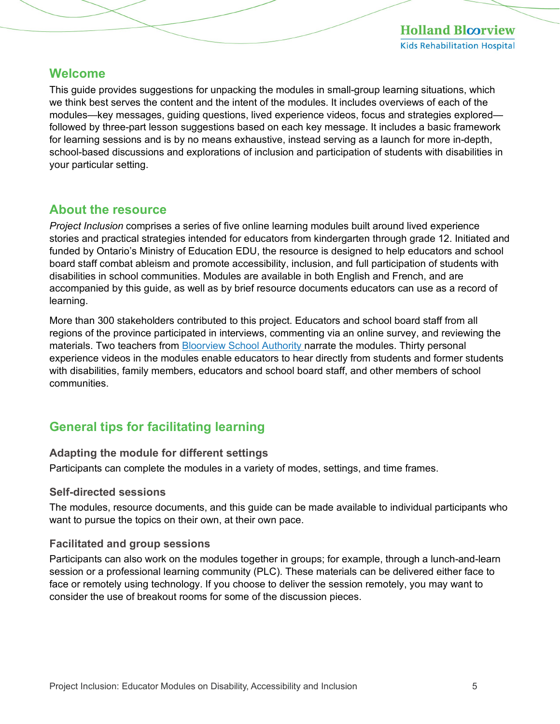#### <span id="page-4-0"></span>**Welcome**

This guide provides suggestions for unpacking the modules in small-group learning situations, which we think best serves the content and the intent of the modules. It includes overviews of each of the modules—key messages, guiding questions, lived experience videos, focus and strategies explored followed by three-part lesson suggestions based on each key message. It includes a basic framework for learning sessions and is by no means exhaustive, instead serving as a launch for more in-depth, school-based discussions and explorations of inclusion and participation of students with disabilities in your particular setting.

#### <span id="page-4-1"></span>**About the resource**

*Project Inclusion* comprises a series of five online learning modules built around lived experience stories and practical strategies intended for educators from kindergarten through grade 12. Initiated and funded by Ontario's Ministry of Education EDU, the resource is designed to help educators and school board staff combat ableism and promote accessibility, inclusion, and full participation of students with disabilities in school communities. Modules are available in both English and French, and are accompanied by this guide, as well as by brief resource documents educators can use as a record of learning.

More than 300 stakeholders contributed to this project. Educators and school board staff from all regions of the province participated in interviews, commenting via an online survey, and reviewing the materials. Two teachers from [Bloorview School Authority](https://bloorviewschool.ca/) narrate the modules. Thirty personal experience videos in the modules enable educators to hear directly from students and former students with disabilities, family members, educators and school board staff, and other members of school communities.

#### <span id="page-4-2"></span>**General tips for facilitating learning**

#### <span id="page-4-3"></span>**Adapting the module for different settings**

Participants can complete the modules in a variety of modes, settings, and time frames.

#### <span id="page-4-4"></span>**Self-directed sessions**

The modules, resource documents, and this guide can be made available to individual participants who want to pursue the topics on their own, at their own pace.

#### <span id="page-4-5"></span>**Facilitated and group sessions**

Participants can also work on the modules together in groups; for example, through a lunch-and-learn session or a professional learning community (PLC). These materials can be delivered either face to face or remotely using technology. If you choose to deliver the session remotely, you may want to consider the use of breakout rooms for some of the discussion pieces.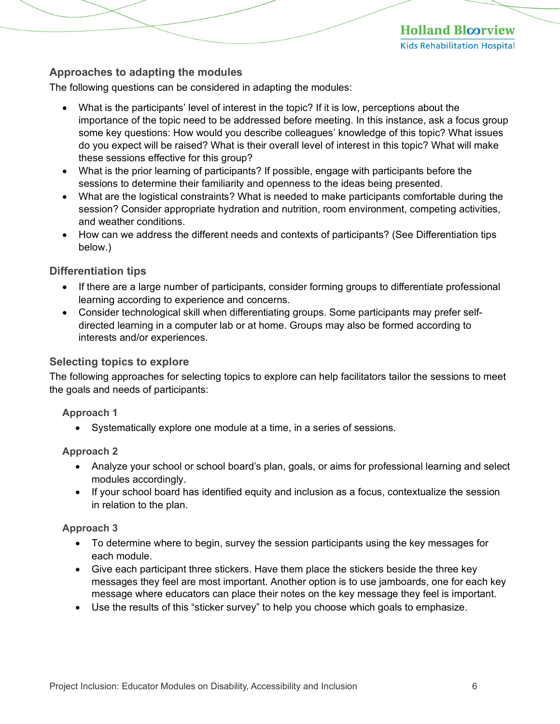#### <span id="page-5-0"></span>**Approaches to adapting the modules**

The following questions can be considered in adapting the modules:

- What is the participants' level of interest in the topic? If it is low, perceptions about the importance of the topic need to be addressed before meeting. In this instance, ask a focus group some key questions: How would you describe colleagues' knowledge of this topic? What issues do you expect will be raised? What is their overall level of interest in this topic? What will make these sessions effective for this group?
- What is the prior learning of participants? If possible, engage with participants before the sessions to determine their familiarity and openness to the ideas being presented.
- What are the logistical constraints? What is needed to make participants comfortable during the session? Consider appropriate hydration and nutrition, room environment, competing activities, and weather conditions.
- How can we address the different needs and contexts of participants? (See Differentiation tips below.)

#### <span id="page-5-1"></span>**Differentiation tips**

- If there are a large number of participants, consider forming groups to differentiate professional learning according to experience and concerns.
- Consider technological skill when differentiating groups. Some participants may prefer selfdirected learning in a computer lab or at home. Groups may also be formed according to interests and/or experiences.

#### <span id="page-5-2"></span>**Selecting topics to explore**

The following approaches for selecting topics to explore can help facilitators tailor the sessions to meet the goals and needs of participants:

#### **Approach 1**

• Systematically explore one module at a time, in a series of sessions.

#### **Approach 2**

- Analyze your school or school board's plan, goals, or aims for professional learning and select modules accordingly.
- If your school board has identified equity and inclusion as a focus, contextualize the session in relation to the plan.

#### **Approach 3**

- To determine where to begin, survey the session participants using the key messages for each module.
- Give each participant three stickers. Have them place the stickers beside the three key messages they feel are most important. Another option is to use jamboards, one for each key message where educators can place their notes on the key message they feel is important.
- Use the results of this "sticker survey" to help you choose which goals to emphasize.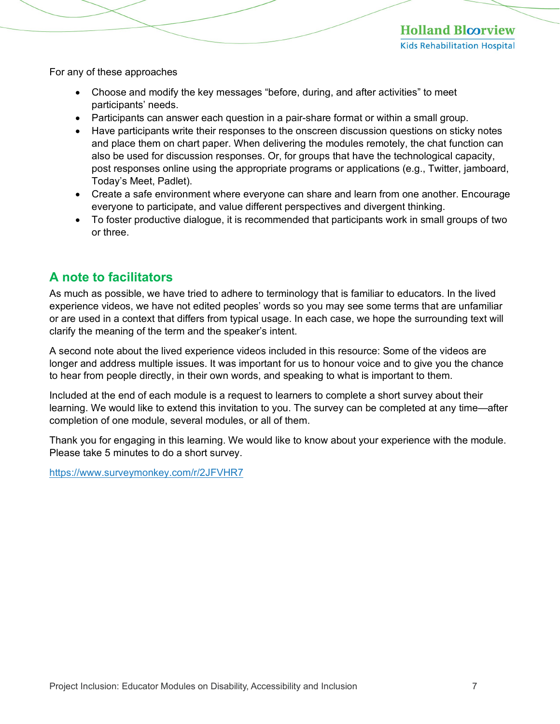For any of these approaches

- Choose and modify the key messages "before, during, and after activities" to meet participants' needs.
- Participants can answer each question in a pair-share format or within a small group.
- Have participants write their responses to the onscreen discussion questions on sticky notes and place them on chart paper. When delivering the modules remotely, the chat function can also be used for discussion responses. Or, for groups that have the technological capacity, post responses online using the appropriate programs or applications (e.g., Twitter, jamboard, Today's Meet, Padlet).
- Create a safe environment where everyone can share and learn from one another. Encourage everyone to participate, and value different perspectives and divergent thinking.
- To foster productive dialogue, it is recommended that participants work in small groups of two or three.

#### <span id="page-6-0"></span>**A note to facilitators**

As much as possible, we have tried to adhere to terminology that is familiar to educators. In the lived experience videos, we have not edited peoples' words so you may see some terms that are unfamiliar or are used in a context that differs from typical usage. In each case, we hope the surrounding text will clarify the meaning of the term and the speaker's intent.

A second note about the lived experience videos included in this resource: Some of the videos are longer and address multiple issues. It was important for us to honour voice and to give you the chance to hear from people directly, in their own words, and speaking to what is important to them.

Included at the end of each module is a request to learners to complete a short survey about their learning. We would like to extend this invitation to you. The survey can be completed at any time—after completion of one module, several modules, or all of them.

Thank you for engaging in this learning. We would like to know about your experience with the module. Please take 5 minutes to do a short survey.

<https://www.surveymonkey.com/r/2JFVHR7>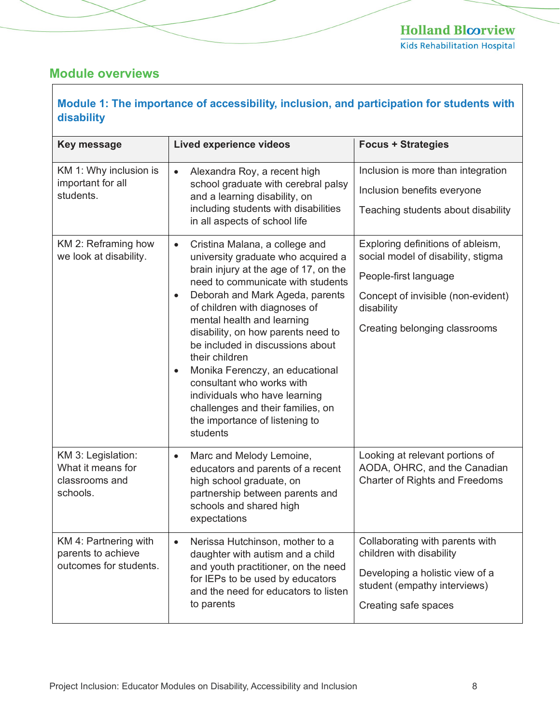#### <span id="page-7-0"></span>**Module overviews**

| Module 1: The importance of accessibility, inclusion, and participation for students with<br>disability |                                                                                                                                                                                                                                                                                                                                                                                                                                                                                                                                                                             |                                                                                                                                                                                       |
|---------------------------------------------------------------------------------------------------------|-----------------------------------------------------------------------------------------------------------------------------------------------------------------------------------------------------------------------------------------------------------------------------------------------------------------------------------------------------------------------------------------------------------------------------------------------------------------------------------------------------------------------------------------------------------------------------|---------------------------------------------------------------------------------------------------------------------------------------------------------------------------------------|
| Key message                                                                                             | <b>Lived experience videos</b>                                                                                                                                                                                                                                                                                                                                                                                                                                                                                                                                              | <b>Focus + Strategies</b>                                                                                                                                                             |
| KM 1: Why inclusion is<br>important for all<br>students.                                                | Alexandra Roy, a recent high<br>$\bullet$<br>school graduate with cerebral palsy<br>and a learning disability, on<br>including students with disabilities<br>in all aspects of school life                                                                                                                                                                                                                                                                                                                                                                                  | Inclusion is more than integration<br>Inclusion benefits everyone<br>Teaching students about disability                                                                               |
| KM 2: Reframing how<br>we look at disability.                                                           | Cristina Malana, a college and<br>$\bullet$<br>university graduate who acquired a<br>brain injury at the age of 17, on the<br>need to communicate with students<br>Deborah and Mark Ageda, parents<br>$\bullet$<br>of children with diagnoses of<br>mental health and learning<br>disability, on how parents need to<br>be included in discussions about<br>their children<br>Monika Ferenczy, an educational<br>$\bullet$<br>consultant who works with<br>individuals who have learning<br>challenges and their families, on<br>the importance of listening to<br>students | Exploring definitions of ableism,<br>social model of disability, stigma<br>People-first language<br>Concept of invisible (non-evident)<br>disability<br>Creating belonging classrooms |
| KM 3: Legislation:<br>What it means for<br>classrooms and<br>schools.                                   | Marc and Melody Lemoine,<br>$\bullet$<br>educators and parents of a recent<br>high school graduate, on<br>partnership between parents and<br>schools and shared high<br>expectations                                                                                                                                                                                                                                                                                                                                                                                        | Looking at relevant portions of<br>AODA, OHRC, and the Canadian<br><b>Charter of Rights and Freedoms</b>                                                                              |
| KM 4: Partnering with<br>parents to achieve<br>outcomes for students.                                   | Nerissa Hutchinson, mother to a<br>$\bullet$<br>daughter with autism and a child<br>and youth practitioner, on the need<br>for IEPs to be used by educators<br>and the need for educators to listen<br>to parents                                                                                                                                                                                                                                                                                                                                                           | Collaborating with parents with<br>children with disability<br>Developing a holistic view of a<br>student (empathy interviews)<br>Creating safe spaces                                |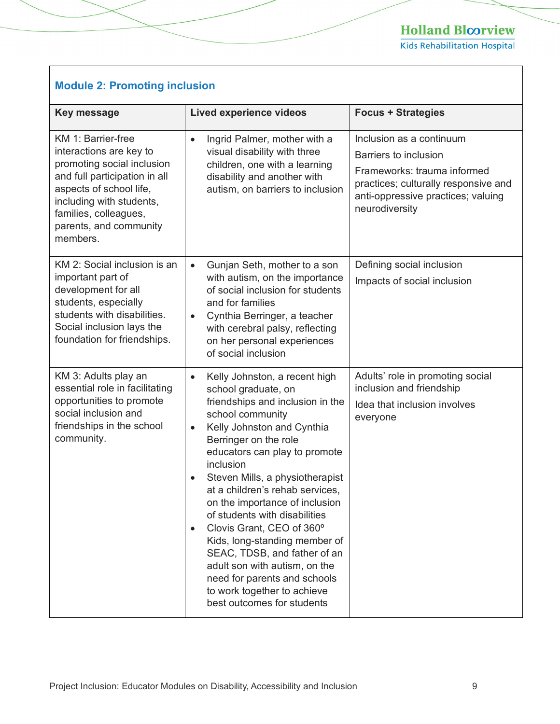Kids Rehabilitation Hospital

#### **Module 2: Promoting inclusion**

| <b>Key message</b>                                                                                                                                                                                                                 | <b>Lived experience videos</b>                                                                                                                                                                                                                                                                                                                                                                                                                                                                                                                                                                                                             | <b>Focus + Strategies</b>                                                                                                                                                        |
|------------------------------------------------------------------------------------------------------------------------------------------------------------------------------------------------------------------------------------|--------------------------------------------------------------------------------------------------------------------------------------------------------------------------------------------------------------------------------------------------------------------------------------------------------------------------------------------------------------------------------------------------------------------------------------------------------------------------------------------------------------------------------------------------------------------------------------------------------------------------------------------|----------------------------------------------------------------------------------------------------------------------------------------------------------------------------------|
| KM 1: Barrier-free<br>interactions are key to<br>promoting social inclusion<br>and full participation in all<br>aspects of school life,<br>including with students,<br>families, colleagues,<br>parents, and community<br>members. | Ingrid Palmer, mother with a<br>$\bullet$<br>visual disability with three<br>children, one with a learning<br>disability and another with<br>autism, on barriers to inclusion                                                                                                                                                                                                                                                                                                                                                                                                                                                              | Inclusion as a continuum<br>Barriers to inclusion<br>Frameworks: trauma informed<br>practices; culturally responsive and<br>anti-oppressive practices; valuing<br>neurodiversity |
| KM 2: Social inclusion is an<br>important part of<br>development for all<br>students, especially<br>students with disabilities.<br>Social inclusion lays the<br>foundation for friendships.                                        | Gunjan Seth, mother to a son<br>$\bullet$<br>with autism, on the importance<br>of social inclusion for students<br>and for families<br>Cynthia Berringer, a teacher<br>$\bullet$<br>with cerebral palsy, reflecting<br>on her personal experiences<br>of social inclusion                                                                                                                                                                                                                                                                                                                                                                  | Defining social inclusion<br>Impacts of social inclusion                                                                                                                         |
| KM 3: Adults play an<br>essential role in facilitating<br>opportunities to promote<br>social inclusion and<br>friendships in the school<br>community.                                                                              | Kelly Johnston, a recent high<br>$\bullet$<br>school graduate, on<br>friendships and inclusion in the<br>school community<br>Kelly Johnston and Cynthia<br>$\bullet$<br>Berringer on the role<br>educators can play to promote<br>inclusion<br>Steven Mills, a physiotherapist<br>$\bullet$<br>at a children's rehab services,<br>on the importance of inclusion<br>of students with disabilities<br>Clovis Grant, CEO of 360°<br>$\bullet$<br>Kids, long-standing member of<br>SEAC, TDSB, and father of an<br>adult son with autism, on the<br>need for parents and schools<br>to work together to achieve<br>best outcomes for students | Adults' role in promoting social<br>inclusion and friendship<br>Idea that inclusion involves<br>everyone                                                                         |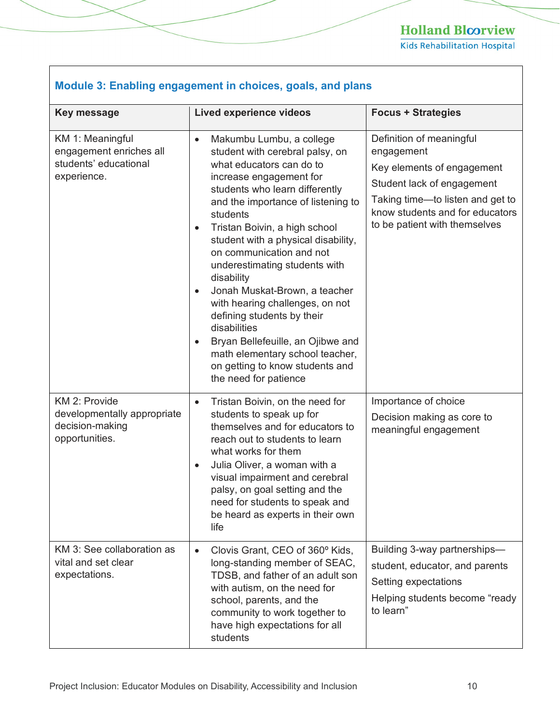| Module 3: Enabling engagement in choices, goals, and plans                          |                                                                                                                                                                                                                                                                                                                                                                                                                                                                                                                                                                                                                                                                     |                                                                                                                                                                                                            |  |
|-------------------------------------------------------------------------------------|---------------------------------------------------------------------------------------------------------------------------------------------------------------------------------------------------------------------------------------------------------------------------------------------------------------------------------------------------------------------------------------------------------------------------------------------------------------------------------------------------------------------------------------------------------------------------------------------------------------------------------------------------------------------|------------------------------------------------------------------------------------------------------------------------------------------------------------------------------------------------------------|--|
| Key message                                                                         | <b>Lived experience videos</b>                                                                                                                                                                                                                                                                                                                                                                                                                                                                                                                                                                                                                                      | <b>Focus + Strategies</b>                                                                                                                                                                                  |  |
| KM 1: Meaningful<br>engagement enriches all<br>students' educational<br>experience. | Makumbu Lumbu, a college<br>$\bullet$<br>student with cerebral palsy, on<br>what educators can do to<br>increase engagement for<br>students who learn differently<br>and the importance of listening to<br>students<br>Tristan Boivin, a high school<br>$\bullet$<br>student with a physical disability,<br>on communication and not<br>underestimating students with<br>disability<br>Jonah Muskat-Brown, a teacher<br>$\bullet$<br>with hearing challenges, on not<br>defining students by their<br>disabilities<br>Bryan Bellefeuille, an Ojibwe and<br>$\bullet$<br>math elementary school teacher,<br>on getting to know students and<br>the need for patience | Definition of meaningful<br>engagement<br>Key elements of engagement<br>Student lack of engagement<br>Taking time-to listen and get to<br>know students and for educators<br>to be patient with themselves |  |
| KM 2: Provide<br>developmentally appropriate<br>decision-making<br>opportunities.   | Tristan Boivin, on the need for<br>$\bullet$<br>students to speak up for<br>themselves and for educators to<br>reach out to students to learn<br>what works for them<br>Julia Oliver, a woman with a<br>$\bullet$<br>visual impairment and cerebral<br>palsy, on goal setting and the<br>need for students to speak and<br>be heard as experts in their own<br>life                                                                                                                                                                                                                                                                                                 | Importance of choice<br>Decision making as core to<br>meaningful engagement                                                                                                                                |  |
| KM 3: See collaboration as<br>vital and set clear<br>expectations.                  | Clovis Grant, CEO of 360° Kids,<br>$\bullet$<br>long-standing member of SEAC,<br>TDSB, and father of an adult son<br>with autism, on the need for<br>school, parents, and the<br>community to work together to<br>have high expectations for all<br>students                                                                                                                                                                                                                                                                                                                                                                                                        | Building 3-way partnerships-<br>student, educator, and parents<br>Setting expectations<br>Helping students become "ready<br>to learn"                                                                      |  |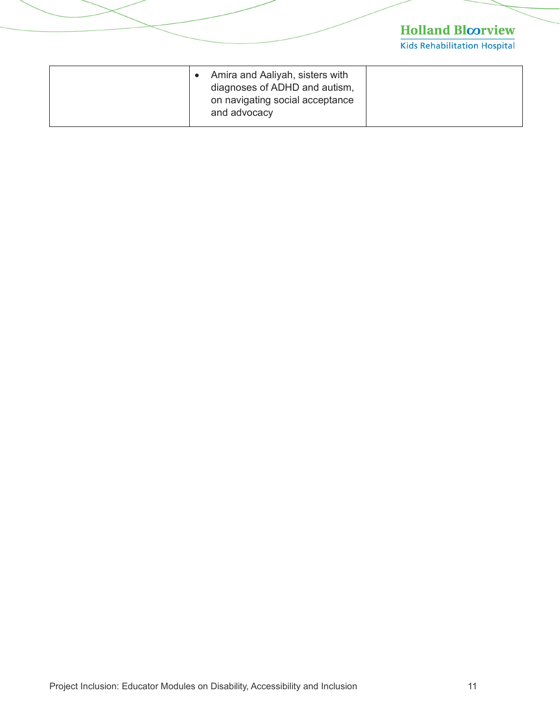| Amira and Aaliyah, sisters with<br>diagnoses of ADHD and autism,<br>on navigating social acceptance<br>and advocacy |  |
|---------------------------------------------------------------------------------------------------------------------|--|
|---------------------------------------------------------------------------------------------------------------------|--|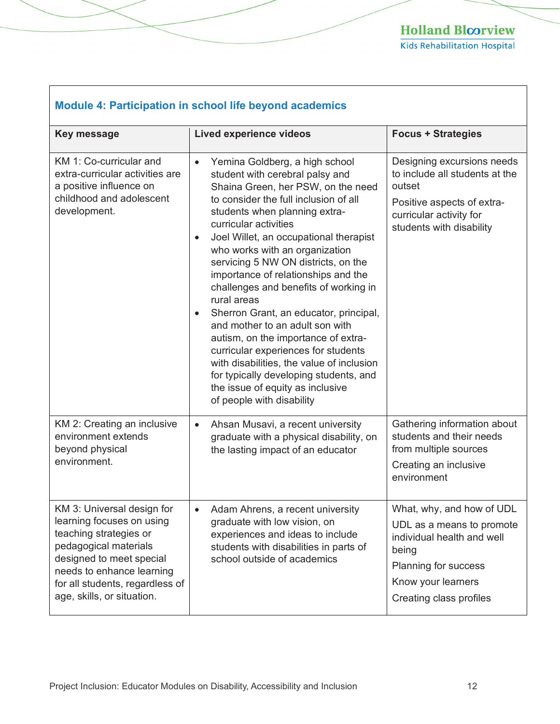| <b>Module 4: Participation in school life beyond academics</b>                                                                                                                                                                       |                                                                                                                                                                                                                                                                                                                                                                                                                                                                                                                                                                                                                                                                                                                                                                                        |                                                                                                                                                                        |
|--------------------------------------------------------------------------------------------------------------------------------------------------------------------------------------------------------------------------------------|----------------------------------------------------------------------------------------------------------------------------------------------------------------------------------------------------------------------------------------------------------------------------------------------------------------------------------------------------------------------------------------------------------------------------------------------------------------------------------------------------------------------------------------------------------------------------------------------------------------------------------------------------------------------------------------------------------------------------------------------------------------------------------------|------------------------------------------------------------------------------------------------------------------------------------------------------------------------|
| Key message                                                                                                                                                                                                                          | <b>Lived experience videos</b>                                                                                                                                                                                                                                                                                                                                                                                                                                                                                                                                                                                                                                                                                                                                                         | <b>Focus + Strategies</b>                                                                                                                                              |
| KM 1: Co-curricular and<br>extra-curricular activities are<br>a positive influence on<br>childhood and adolescent<br>development.                                                                                                    | Yemina Goldberg, a high school<br>$\bullet$<br>student with cerebral palsy and<br>Shaina Green, her PSW, on the need<br>to consider the full inclusion of all<br>students when planning extra-<br>curricular activities<br>Joel Willet, an occupational therapist<br>$\bullet$<br>who works with an organization<br>servicing 5 NW ON districts, on the<br>importance of relationships and the<br>challenges and benefits of working in<br>rural areas<br>Sherron Grant, an educator, principal,<br>$\bullet$<br>and mother to an adult son with<br>autism, on the importance of extra-<br>curricular experiences for students<br>with disabilities, the value of inclusion<br>for typically developing students, and<br>the issue of equity as inclusive<br>of people with disability | Designing excursions needs<br>to include all students at the<br>outset<br>Positive aspects of extra-<br>curricular activity for<br>students with disability            |
| KM 2: Creating an inclusive<br>environment extends<br>beyond physical<br>environment.                                                                                                                                                | Ahsan Musavi, a recent university<br>$\bullet$<br>graduate with a physical disability, on<br>the lasting impact of an educator                                                                                                                                                                                                                                                                                                                                                                                                                                                                                                                                                                                                                                                         | Gathering information about<br>students and their needs<br>from multiple sources<br>Creating an inclusive<br>environment                                               |
| KM 3: Universal design for<br>learning focuses on using<br>teaching strategies or<br>pedagogical materials<br>designed to meet special<br>needs to enhance learning<br>for all students, regardless of<br>age, skills, or situation. | Adam Ahrens, a recent university<br>graduate with low vision, on<br>experiences and ideas to include<br>students with disabilities in parts of<br>school outside of academics                                                                                                                                                                                                                                                                                                                                                                                                                                                                                                                                                                                                          | What, why, and how of UDL<br>UDL as a means to promote<br>individual health and well<br>being<br>Planning for success<br>Know your learners<br>Creating class profiles |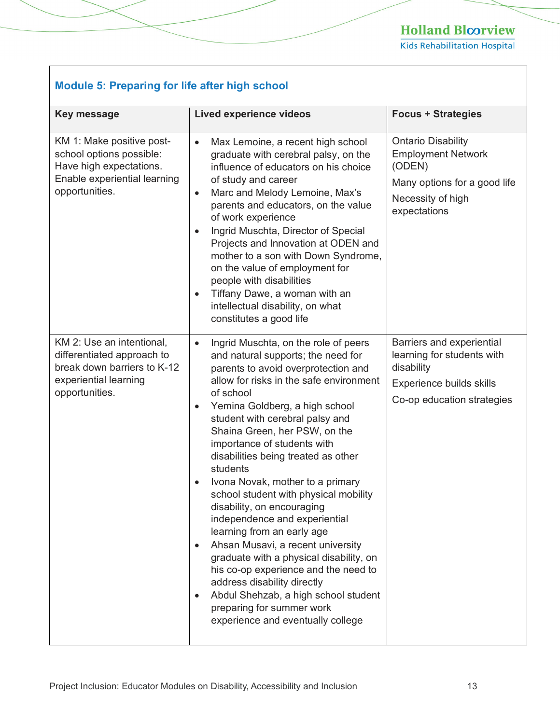Kids Rehabilitation Hospital

#### **Module 5: Preparing for life after high school**

| <b>Key message</b>                                                                                                                 | <b>Lived experience videos</b>                                                                                                                                                                                                                                                                                                                                                                                                                                                                                                                                                                                                                                                                                                                                                                                                                                                | <b>Focus + Strategies</b>                                                                                                             |
|------------------------------------------------------------------------------------------------------------------------------------|-------------------------------------------------------------------------------------------------------------------------------------------------------------------------------------------------------------------------------------------------------------------------------------------------------------------------------------------------------------------------------------------------------------------------------------------------------------------------------------------------------------------------------------------------------------------------------------------------------------------------------------------------------------------------------------------------------------------------------------------------------------------------------------------------------------------------------------------------------------------------------|---------------------------------------------------------------------------------------------------------------------------------------|
| KM 1: Make positive post-<br>school options possible:<br>Have high expectations.<br>Enable experiential learning<br>opportunities. | Max Lemoine, a recent high school<br>$\bullet$<br>graduate with cerebral palsy, on the<br>influence of educators on his choice<br>of study and career<br>Marc and Melody Lemoine, Max's<br>$\bullet$<br>parents and educators, on the value<br>of work experience<br>Ingrid Muschta, Director of Special<br>$\bullet$<br>Projects and Innovation at ODEN and<br>mother to a son with Down Syndrome,<br>on the value of employment for<br>people with disabilities<br>Tiffany Dawe, a woman with an<br>$\bullet$<br>intellectual disability, on what<br>constitutes a good life                                                                                                                                                                                                                                                                                                | <b>Ontario Disability</b><br><b>Employment Network</b><br>(ODEN)<br>Many options for a good life<br>Necessity of high<br>expectations |
| KM 2: Use an intentional,<br>differentiated approach to<br>break down barriers to K-12<br>experiential learning<br>opportunities.  | Ingrid Muschta, on the role of peers<br>$\bullet$<br>and natural supports; the need for<br>parents to avoid overprotection and<br>allow for risks in the safe environment<br>of school<br>Yemina Goldberg, a high school<br>$\bullet$<br>student with cerebral palsy and<br>Shaina Green, her PSW, on the<br>importance of students with<br>disabilities being treated as other<br>students<br>Ivona Novak, mother to a primary<br>$\bullet$<br>school student with physical mobility<br>disability, on encouraging<br>independence and experiential<br>learning from an early age<br>Ahsan Musavi, a recent university<br>$\bullet$<br>graduate with a physical disability, on<br>his co-op experience and the need to<br>address disability directly<br>Abdul Shehzab, a high school student<br>$\bullet$<br>preparing for summer work<br>experience and eventually college | Barriers and experiential<br>learning for students with<br>disability<br>Experience builds skills<br>Co-op education strategies       |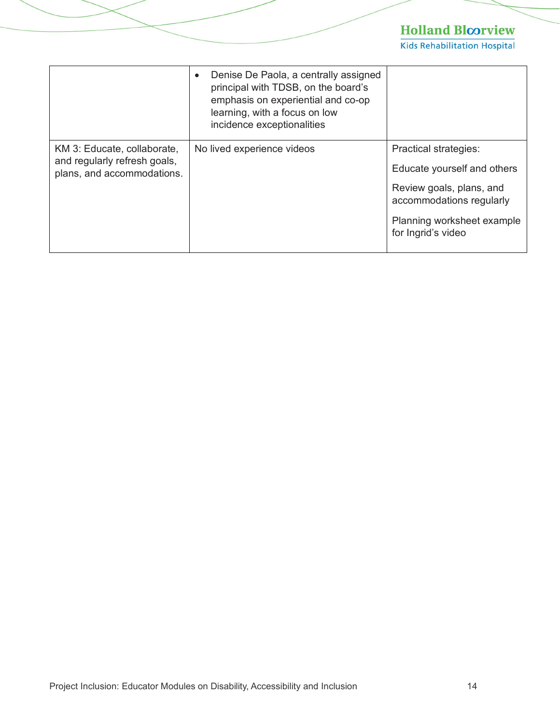| Denise De Paola, a centrally assigned<br>principal with TDSB, on the board's<br>emphasis on experiential and co-op<br>learning, with a focus on low<br>incidence exceptionalities |                                                                                                                                                   |
|-----------------------------------------------------------------------------------------------------------------------------------------------------------------------------------|---------------------------------------------------------------------------------------------------------------------------------------------------|
| No lived experience videos                                                                                                                                                        | <b>Practical strategies:</b><br>Educate yourself and others<br>Review goals, plans, and<br>accommodations regularly<br>Planning worksheet example |
|                                                                                                                                                                                   | for Ingrid's video                                                                                                                                |
|                                                                                                                                                                                   |                                                                                                                                                   |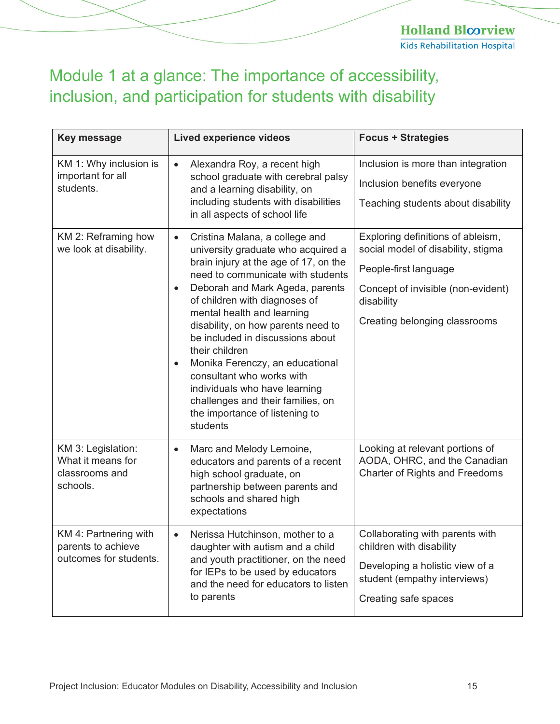**Holland Bloorview Kids Rehabilitation Hospital** 

# <span id="page-14-0"></span>Module 1 at a glance: The importance of accessibility, inclusion, and participation for students with disability

| <b>Key message</b>                                                    | <b>Lived experience videos</b>                                                                                                                                                                                                                                                                                                                                                                                                                                                                                                                                 | <b>Focus + Strategies</b>                                                                                                                                                             |
|-----------------------------------------------------------------------|----------------------------------------------------------------------------------------------------------------------------------------------------------------------------------------------------------------------------------------------------------------------------------------------------------------------------------------------------------------------------------------------------------------------------------------------------------------------------------------------------------------------------------------------------------------|---------------------------------------------------------------------------------------------------------------------------------------------------------------------------------------|
| KM 1: Why inclusion is<br>important for all<br>students.              | Alexandra Roy, a recent high<br>$\bullet$<br>school graduate with cerebral palsy<br>and a learning disability, on<br>including students with disabilities<br>in all aspects of school life                                                                                                                                                                                                                                                                                                                                                                     | Inclusion is more than integration<br>Inclusion benefits everyone<br>Teaching students about disability                                                                               |
| KM 2: Reframing how<br>we look at disability.                         | Cristina Malana, a college and<br>$\bullet$<br>university graduate who acquired a<br>brain injury at the age of 17, on the<br>need to communicate with students<br>Deborah and Mark Ageda, parents<br>of children with diagnoses of<br>mental health and learning<br>disability, on how parents need to<br>be included in discussions about<br>their children<br>Monika Ferenczy, an educational<br>$\bullet$<br>consultant who works with<br>individuals who have learning<br>challenges and their families, on<br>the importance of listening to<br>students | Exploring definitions of ableism,<br>social model of disability, stigma<br>People-first language<br>Concept of invisible (non-evident)<br>disability<br>Creating belonging classrooms |
| KM 3: Legislation:<br>What it means for<br>classrooms and<br>schools. | Marc and Melody Lemoine,<br>$\bullet$<br>educators and parents of a recent<br>high school graduate, on<br>partnership between parents and<br>schools and shared high<br>expectations                                                                                                                                                                                                                                                                                                                                                                           | Looking at relevant portions of<br>AODA, OHRC, and the Canadian<br>Charter of Rights and Freedoms                                                                                     |
| KM 4: Partnering with<br>parents to achieve<br>outcomes for students. | Nerissa Hutchinson, mother to a<br>$\bullet$<br>daughter with autism and a child<br>and youth practitioner, on the need<br>for IEPs to be used by educators<br>and the need for educators to listen<br>to parents                                                                                                                                                                                                                                                                                                                                              | Collaborating with parents with<br>children with disability<br>Developing a holistic view of a<br>student (empathy interviews)<br>Creating safe spaces                                |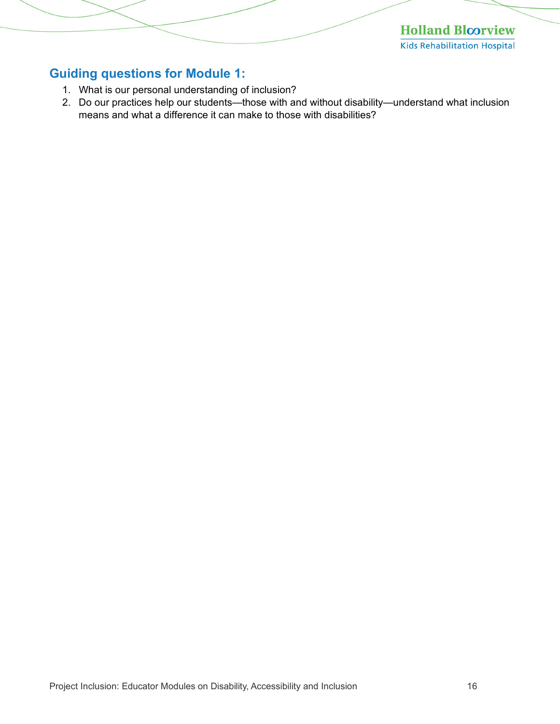**Holland Bloorview Kids Rehabilitation Hospital** 

#### <span id="page-15-0"></span>**Guiding questions for Module 1:**

- 1. What is our personal understanding of inclusion?
- 2. Do our practices help our students—those with and without disability—understand what inclusion means and what a difference it can make to those with disabilities?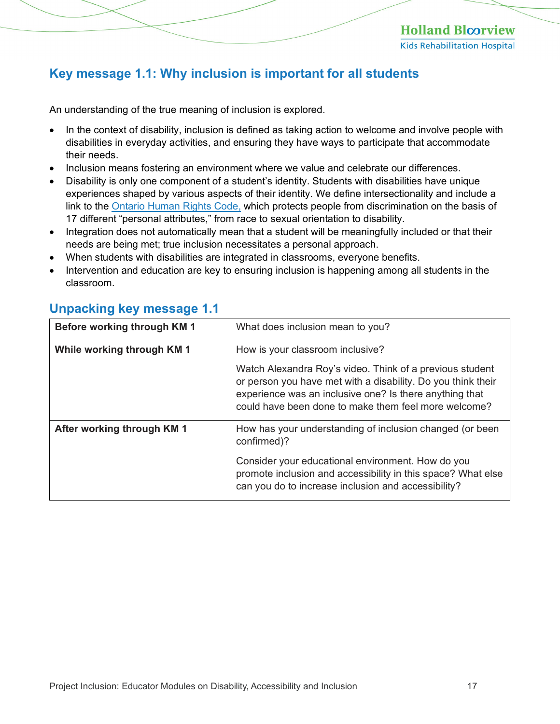#### <span id="page-16-0"></span>**Key message 1.1: Why inclusion is important for all students**

An understanding of the true meaning of inclusion is explored.

- In the context of disability, inclusion is defined as taking action to welcome and involve people with disabilities in everyday activities, and ensuring they have ways to participate that accommodate their needs.
- Inclusion means fostering an environment where we value and celebrate our differences.
- Disability is only one component of a student's identity. Students with disabilities have unique experiences shaped by various aspects of their identity. We define intersectionality and include a link to the [Ontario Human Rights Code,](http://www.ohrc.on.ca/en/ontario-human-rights-code) which protects people from discrimination on the basis of 17 different "personal attributes," from race to sexual orientation to disability.
- Integration does not automatically mean that a student will be meaningfully included or that their needs are being met; true inclusion necessitates a personal approach.
- When students with disabilities are integrated in classrooms, everyone benefits.
- Intervention and education are key to ensuring inclusion is happening among all students in the classroom.

| Before working through KM 1 | What does inclusion mean to you?                                                                                                                                                                                                            |  |
|-----------------------------|---------------------------------------------------------------------------------------------------------------------------------------------------------------------------------------------------------------------------------------------|--|
| While working through KM 1  | How is your classroom inclusive?                                                                                                                                                                                                            |  |
|                             | Watch Alexandra Roy's video. Think of a previous student<br>or person you have met with a disability. Do you think their<br>experience was an inclusive one? Is there anything that<br>could have been done to make them feel more welcome? |  |
| After working through KM 1  | How has your understanding of inclusion changed (or been<br>confirmed)?                                                                                                                                                                     |  |
|                             | Consider your educational environment. How do you<br>promote inclusion and accessibility in this space? What else<br>can you do to increase inclusion and accessibility?                                                                    |  |

#### <span id="page-16-1"></span>**Unpacking key message 1.1**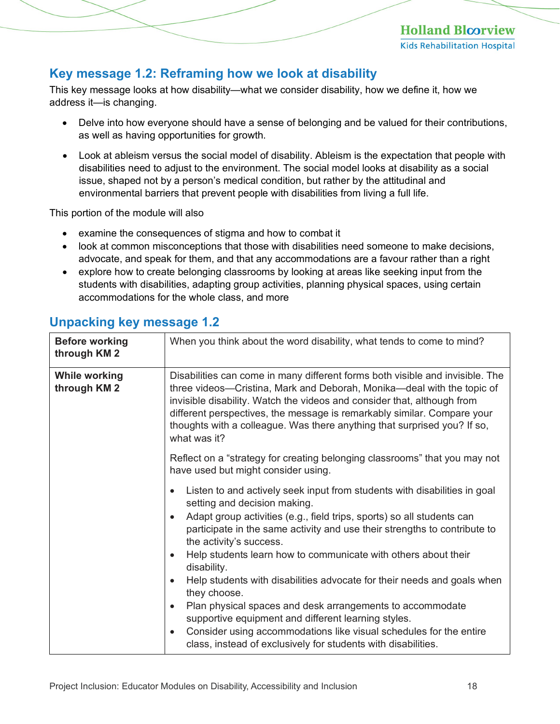#### <span id="page-17-0"></span>**Key message 1.2: Reframing how we look at disability**

This key message looks at how disability—what we consider disability, how we define it, how we address it—is changing.

- Delve into how everyone should have a sense of belonging and be valued for their contributions, as well as having opportunities for growth.
- Look at ableism versus the social model of disability. Ableism is the expectation that people with disabilities need to adjust to the environment. The social model looks at disability as a social issue, shaped not by a person's medical condition, but rather by the attitudinal and environmental barriers that prevent people with disabilities from living a full life.

This portion of the module will also

- examine the consequences of stigma and how to combat it
- look at common misconceptions that those with disabilities need someone to make decisions, advocate, and speak for them, and that any accommodations are a favour rather than a right
- explore how to create belonging classrooms by looking at areas like seeking input from the students with disabilities, adapting group activities, planning physical spaces, using certain accommodations for the whole class, and more

| <b>Before working</b><br>through KM 2 | When you think about the word disability, what tends to come to mind?                                                                                                                                                                                                                                                                                                                                     |  |
|---------------------------------------|-----------------------------------------------------------------------------------------------------------------------------------------------------------------------------------------------------------------------------------------------------------------------------------------------------------------------------------------------------------------------------------------------------------|--|
| <b>While working</b><br>through KM 2  | Disabilities can come in many different forms both visible and invisible. The<br>three videos-Cristina, Mark and Deborah, Monika-deal with the topic of<br>invisible disability. Watch the videos and consider that, although from<br>different perspectives, the message is remarkably similar. Compare your<br>thoughts with a colleague. Was there anything that surprised you? If so,<br>what was it? |  |
|                                       | Reflect on a "strategy for creating belonging classrooms" that you may not<br>have used but might consider using.                                                                                                                                                                                                                                                                                         |  |
|                                       | Listen to and actively seek input from students with disabilities in goal<br>setting and decision making.                                                                                                                                                                                                                                                                                                 |  |
|                                       | Adapt group activities (e.g., field trips, sports) so all students can<br>$\bullet$<br>participate in the same activity and use their strengths to contribute to<br>the activity's success.                                                                                                                                                                                                               |  |
|                                       | Help students learn how to communicate with others about their<br>$\bullet$<br>disability.                                                                                                                                                                                                                                                                                                                |  |
|                                       | Help students with disabilities advocate for their needs and goals when<br>$\bullet$<br>they choose.                                                                                                                                                                                                                                                                                                      |  |
|                                       | Plan physical spaces and desk arrangements to accommodate<br>$\bullet$<br>supportive equipment and different learning styles.                                                                                                                                                                                                                                                                             |  |
|                                       | Consider using accommodations like visual schedules for the entire<br>$\bullet$<br>class, instead of exclusively for students with disabilities.                                                                                                                                                                                                                                                          |  |

#### <span id="page-17-1"></span>**Unpacking key message 1.2**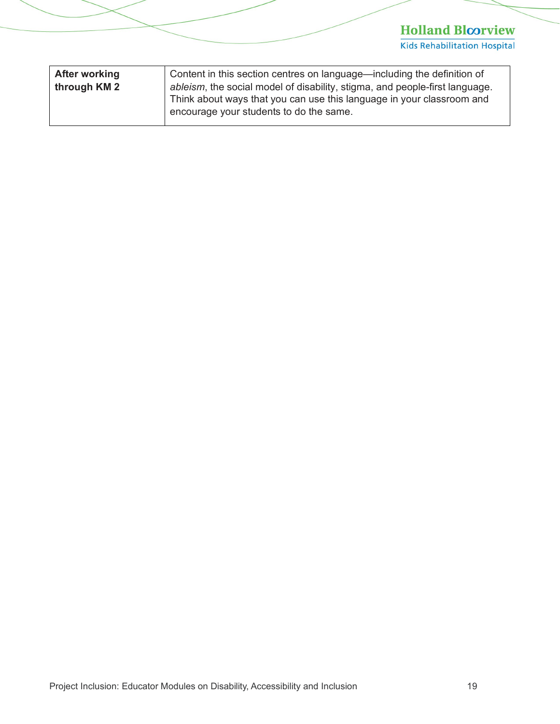| <b>After working</b><br>through KM 2 | Content in this section centres on language—including the definition of<br>ableism, the social model of disability, stigma, and people-first language.<br>Think about ways that you can use this language in your classroom and<br>encourage your students to do the same. |
|--------------------------------------|----------------------------------------------------------------------------------------------------------------------------------------------------------------------------------------------------------------------------------------------------------------------------|
|                                      |                                                                                                                                                                                                                                                                            |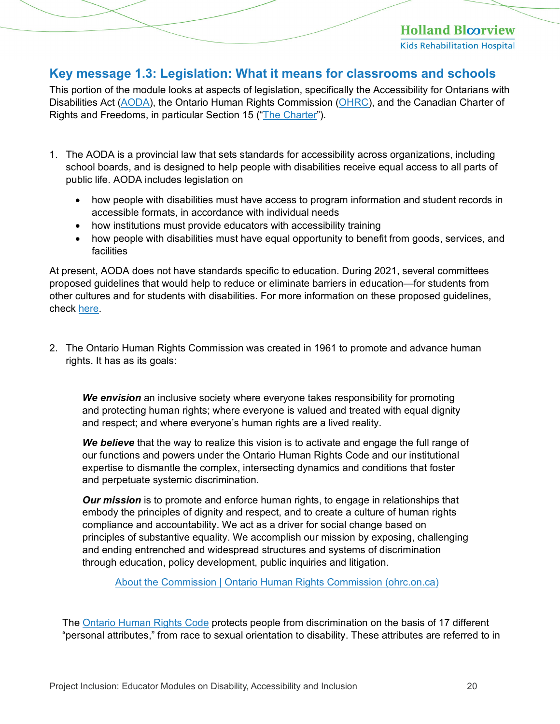#### <span id="page-19-0"></span>**Key message 1.3: Legislation: What it means for classrooms and schools**

This portion of the module looks at aspects of legislation, specifically the Accessibility for Ontarians with Disabilities Act [\(AODA\)](https://www.aoda.ca/), the Ontario Human Rights Commission ([OHRC](http://www.ohrc.on.ca/)), and the Canadian Charter of Rights and Freedoms, in particular Section 15 ("[The Charter](https://www.justice.gc.ca/eng/csj-sjc/rfc-dlc/ccrf-ccdl/check/art15.html)").

- 1. The AODA is a provincial law that sets standards for accessibility across organizations, including school boards, and is designed to help people with disabilities receive equal access to all parts of public life. AODA includes legislation on
	- how people with disabilities must have access to program information and student records in accessible formats, in accordance with individual needs
	- how institutions must provide educators with accessibility training
	- how people with disabilities must have equal opportunity to benefit from goods, services, and facilities

At present, AODA does not have standards specific to education. During 2021, several committees proposed guidelines that would help to reduce or eliminate barriers in education—for students from other cultures and for students with disabilities. For more information on these proposed guidelines, check [here.](https://www.aoda.ca/creating-a-barrier-free-curriculum-for-students-of-all-abilities-and-cultures/)

2. The Ontario Human Rights Commission was created in 1961 to promote and advance human rights. It has as its goals:

*We envision* an inclusive society where everyone takes responsibility for promoting and protecting human rights; where everyone is valued and treated with equal dignity and respect; and where everyone's human rights are a lived reality.

*We believe* that the way to realize this vision is to activate and engage the full range of our functions and powers under the Ontario Human Rights Code and our institutional expertise to dismantle the complex, intersecting dynamics and conditions that foster and perpetuate systemic discrimination.

*Our mission* is to promote and enforce human rights, to engage in relationships that embody the principles of dignity and respect, and to create a culture of human rights compliance and accountability. We act as a driver for social change based on principles of substantive equality. We accomplish our mission by exposing, challenging and ending entrenched and widespread structures and systems of discrimination through education, policy development, public inquiries and litigation.

[About the Commission | Ontario Human Rights Commission \(ohrc.on.ca\)](http://www.ohrc.on.ca/en/about-commission)

The [Ontario Human Rights Code](http://www.ohrc.on.ca/en/ontario-human-rights-code) protects people from discrimination on the basis of 17 different "personal attributes," from race to sexual orientation to disability. These attributes are referred to in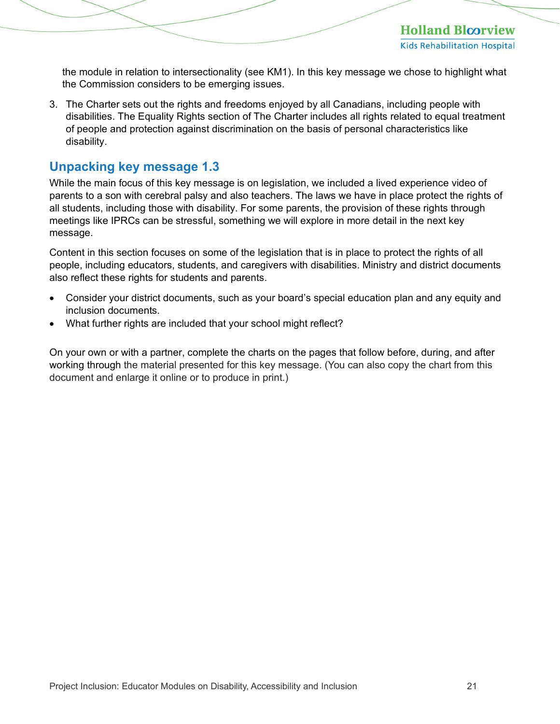the module in relation to intersectionality (see KM1). In this key message we chose to highlight what the Commission considers to be emerging issues.

3. The Charter sets out the rights and freedoms enjoyed by all Canadians, including people with disabilities. The Equality Rights section of The Charter includes all rights related to equal treatment of people and protection against discrimination on the basis of personal characteristics like disability.

#### <span id="page-20-0"></span>**Unpacking key message 1.3**

While the main focus of this key message is on legislation, we included a lived experience video of parents to a son with cerebral palsy and also teachers. The laws we have in place protect the rights of all students, including those with disability. For some parents, the provision of these rights through meetings like IPRCs can be stressful, something we will explore in more detail in the next key message.

Content in this section focuses on some of the legislation that is in place to protect the rights of all people, including educators, students, and caregivers with disabilities. Ministry and district documents also reflect these rights for students and parents.

- Consider your district documents, such as your board's special education plan and any equity and inclusion documents.
- What further rights are included that your school might reflect?

On your own or with a partner, complete the charts on the pages that follow before, during, and after working through the material presented for this key message. (You can also copy the chart from this document and enlarge it online or to produce in print.)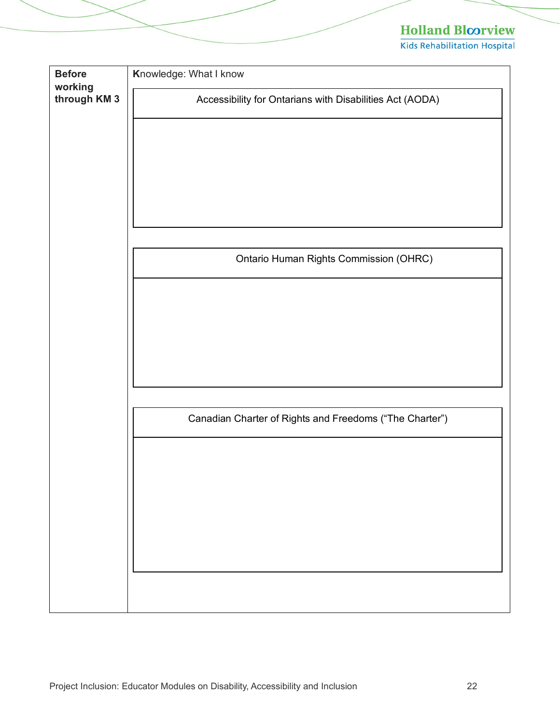| <b>Before</b><br>working | Knowledge: What I know                                   |
|--------------------------|----------------------------------------------------------|
| through KM 3             | Accessibility for Ontarians with Disabilities Act (AODA) |
|                          |                                                          |
|                          |                                                          |
|                          |                                                          |
|                          |                                                          |
|                          |                                                          |
|                          |                                                          |
|                          | Ontario Human Rights Commission (OHRC)                   |
|                          |                                                          |
|                          |                                                          |
|                          |                                                          |
|                          |                                                          |
|                          |                                                          |
|                          |                                                          |
|                          | Canadian Charter of Rights and Freedoms ("The Charter")  |
|                          |                                                          |
|                          |                                                          |
|                          |                                                          |
|                          |                                                          |
|                          |                                                          |
|                          |                                                          |
|                          |                                                          |
|                          |                                                          |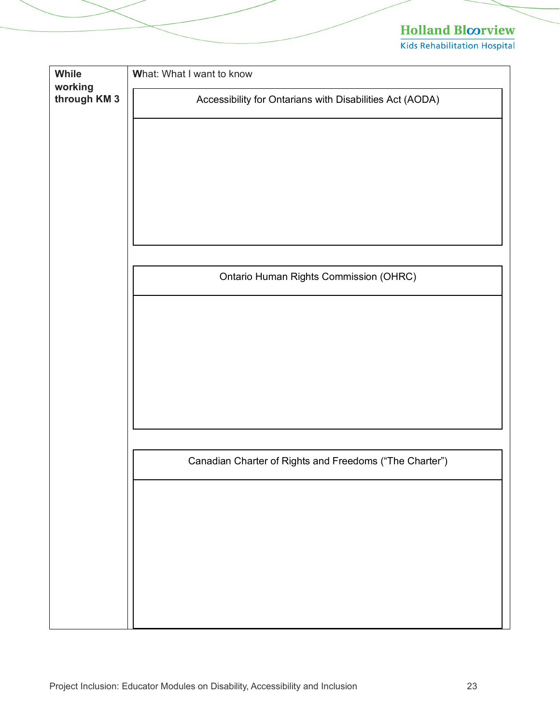| While<br>working | What: What I want to know                                |
|------------------|----------------------------------------------------------|
| through KM 3     | Accessibility for Ontarians with Disabilities Act (AODA) |
|                  |                                                          |
|                  |                                                          |
|                  |                                                          |
|                  |                                                          |
|                  |                                                          |
|                  |                                                          |
|                  | Ontario Human Rights Commission (OHRC)                   |
|                  |                                                          |
|                  |                                                          |
|                  |                                                          |
|                  |                                                          |
|                  |                                                          |
|                  |                                                          |
|                  |                                                          |
|                  | Canadian Charter of Rights and Freedoms ("The Charter")  |
|                  |                                                          |
|                  |                                                          |
|                  |                                                          |
|                  |                                                          |
|                  |                                                          |
|                  |                                                          |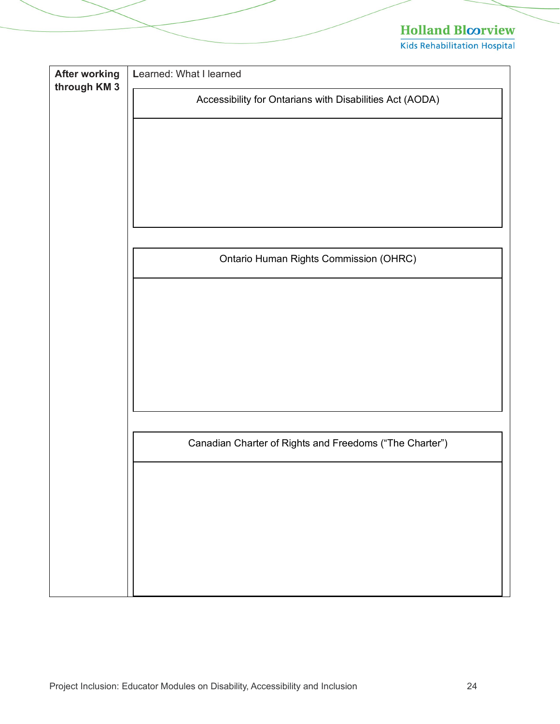| <b>After working</b><br>through KM 3 | Learned: What I learned                                  |
|--------------------------------------|----------------------------------------------------------|
|                                      | Accessibility for Ontarians with Disabilities Act (AODA) |
|                                      |                                                          |
|                                      |                                                          |
|                                      |                                                          |
|                                      |                                                          |
|                                      |                                                          |
|                                      |                                                          |
|                                      |                                                          |
|                                      | Ontario Human Rights Commission (OHRC)                   |
|                                      |                                                          |
|                                      |                                                          |
|                                      |                                                          |
|                                      |                                                          |
|                                      |                                                          |
|                                      |                                                          |
|                                      |                                                          |
|                                      | Canadian Charter of Rights and Freedoms ("The Charter")  |
|                                      |                                                          |
|                                      |                                                          |
|                                      |                                                          |
|                                      |                                                          |
|                                      |                                                          |
|                                      |                                                          |
|                                      |                                                          |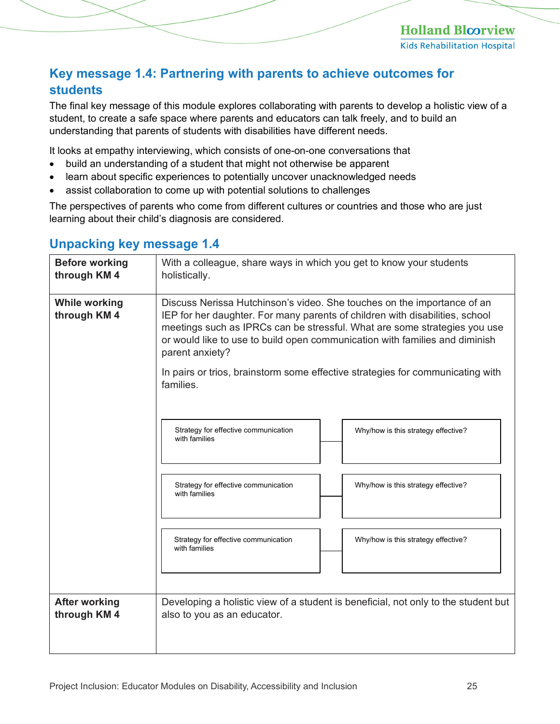#### <span id="page-24-0"></span>**Key message 1.4: Partnering with parents to achieve outcomes for students**

The final key message of this module explores collaborating with parents to develop a holistic view of a student, to create a safe space where parents and educators can talk freely, and to build an understanding that parents of students with disabilities have different needs.

It looks at empathy interviewing, which consists of one-on-one conversations that

- build an understanding of a student that might not otherwise be apparent
- learn about specific experiences to potentially uncover unacknowledged needs
- assist collaboration to come up with potential solutions to challenges

The perspectives of parents who come from different cultures or countries and those who are just learning about their child's diagnosis are considered.

# Strategy for effective communication **Network Constructs** Why/how is this strategy effective? with families Strategy for effective communication  $\vert$  Why/how is this strategy effective? with families Strategy for effective communication Why/how is this strategy effective? with families **Before working through KM 4** With a colleague, share ways in which you get to know your students holistically. **While working through KM 4** Discuss Nerissa Hutchinson's video. She touches on the importance of an IEP for her daughter. For many parents of children with disabilities, school meetings such as IPRCs can be stressful. What are some strategies you use or would like to use to build open communication with families and diminish parent anxiety? In pairs or trios, brainstorm some effective strategies for communicating with families. **After working through KM 4** Developing a holistic view of a student is beneficial, not only to the student but also to you as an educator.

#### <span id="page-24-1"></span>**Unpacking key message 1.4**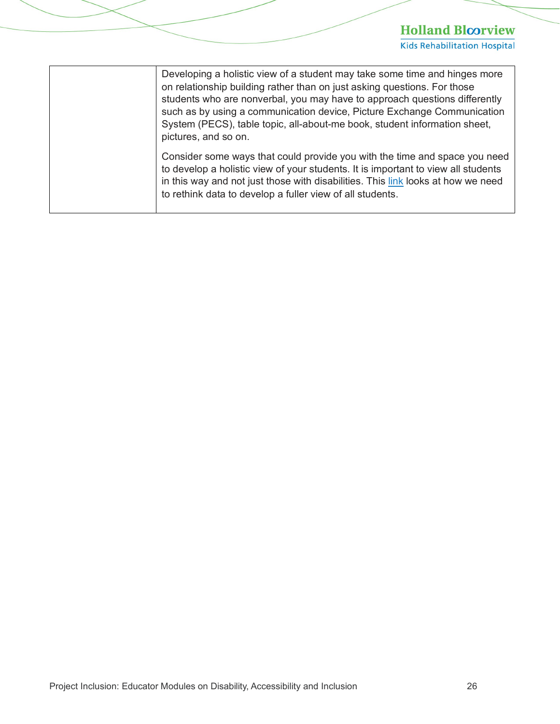| Developing a holistic view of a student may take some time and hinges more<br>on relationship building rather than on just asking questions. For those<br>students who are nonverbal, you may have to approach questions differently<br>such as by using a communication device, Picture Exchange Communication<br>System (PECS), table topic, all-about-me book, student information sheet,<br>pictures, and so on. |
|----------------------------------------------------------------------------------------------------------------------------------------------------------------------------------------------------------------------------------------------------------------------------------------------------------------------------------------------------------------------------------------------------------------------|
| Consider some ways that could provide you with the time and space you need<br>to develop a holistic view of your students. It is important to view all students<br>in this way and not just those with disabilities. This link looks at how we need<br>to rethink data to develop a fuller view of all students.                                                                                                     |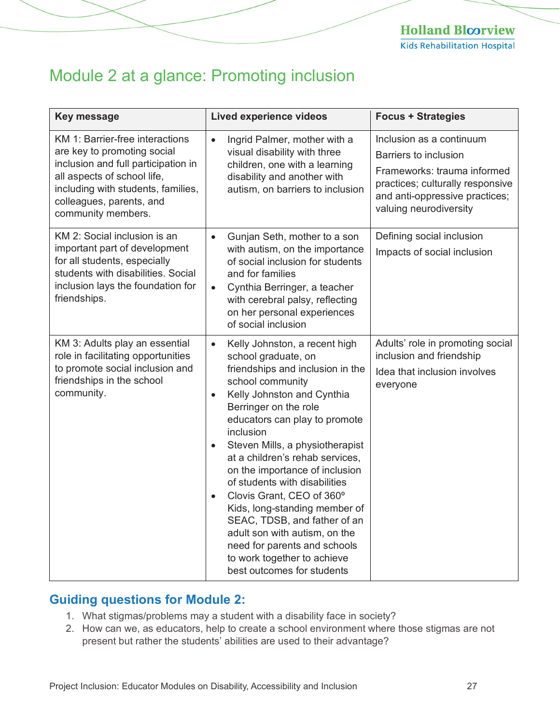# <span id="page-26-0"></span>Module 2 at a glance: Promoting inclusion

| <b>Key message</b>                                                                                                                                                                                                           | <b>Lived experience videos</b>                                                                                                                                                                                                                                                                                                                                                                                                                                                                                                                                                                                                             | <b>Focus + Strategies</b>                                                                                                                                                               |
|------------------------------------------------------------------------------------------------------------------------------------------------------------------------------------------------------------------------------|--------------------------------------------------------------------------------------------------------------------------------------------------------------------------------------------------------------------------------------------------------------------------------------------------------------------------------------------------------------------------------------------------------------------------------------------------------------------------------------------------------------------------------------------------------------------------------------------------------------------------------------------|-----------------------------------------------------------------------------------------------------------------------------------------------------------------------------------------|
| KM 1: Barrier-free interactions<br>are key to promoting social<br>inclusion and full participation in<br>all aspects of school life,<br>including with students, families,<br>colleagues, parents, and<br>community members. | Ingrid Palmer, mother with a<br>$\bullet$<br>visual disability with three<br>children, one with a learning<br>disability and another with<br>autism, on barriers to inclusion                                                                                                                                                                                                                                                                                                                                                                                                                                                              | Inclusion as a continuum<br><b>Barriers to inclusion</b><br>Frameworks: trauma informed<br>practices; culturally responsive<br>and anti-oppressive practices;<br>valuing neurodiversity |
| KM 2: Social inclusion is an<br>important part of development<br>for all students, especially<br>students with disabilities. Social<br>inclusion lays the foundation for<br>friendships.                                     | Gunjan Seth, mother to a son<br>$\bullet$<br>with autism, on the importance<br>of social inclusion for students<br>and for families<br>Cynthia Berringer, a teacher<br>$\bullet$<br>with cerebral palsy, reflecting<br>on her personal experiences<br>of social inclusion                                                                                                                                                                                                                                                                                                                                                                  | Defining social inclusion<br>Impacts of social inclusion                                                                                                                                |
| KM 3: Adults play an essential<br>role in facilitating opportunities<br>to promote social inclusion and<br>friendships in the school<br>community.                                                                           | Kelly Johnston, a recent high<br>$\bullet$<br>school graduate, on<br>friendships and inclusion in the<br>school community<br>Kelly Johnston and Cynthia<br>$\bullet$<br>Berringer on the role<br>educators can play to promote<br>inclusion<br>Steven Mills, a physiotherapist<br>$\bullet$<br>at a children's rehab services,<br>on the importance of inclusion<br>of students with disabilities<br>Clovis Grant, CEO of 360°<br>$\bullet$<br>Kids, long-standing member of<br>SEAC, TDSB, and father of an<br>adult son with autism, on the<br>need for parents and schools<br>to work together to achieve<br>best outcomes for students | Adults' role in promoting social<br>inclusion and friendship<br>Idea that inclusion involves<br>everyone                                                                                |

#### <span id="page-26-1"></span>**Guiding questions for Module 2:**

- 1. What stigmas/problems may a student with a disability face in society?
- 2. How can we, as educators, help to create a school environment where those stigmas are not present but rather the students' abilities are used to their advantage?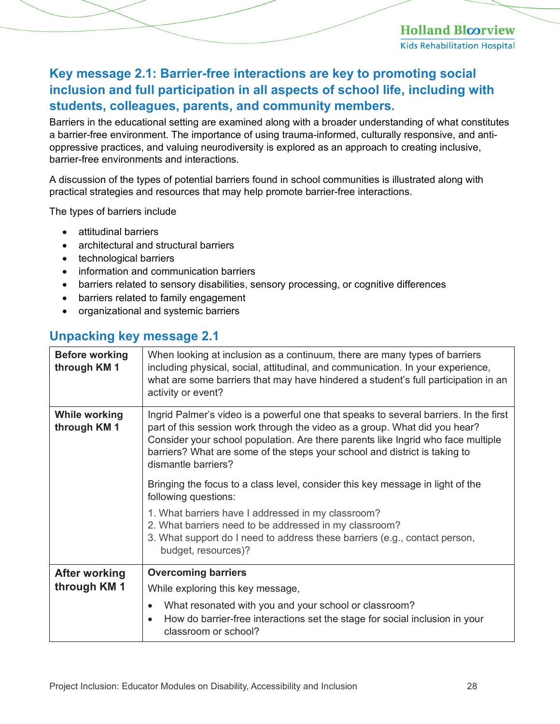#### <span id="page-27-0"></span>**Key message 2.1: Barrier-free interactions are key to promoting social inclusion and full participation in all aspects of school life, including with students, colleagues, parents, and community members.**

Barriers in the educational setting are examined along with a broader understanding of what constitutes a barrier-free environment. The importance of using trauma-informed, culturally responsive, and antioppressive practices, and valuing neurodiversity is explored as an approach to creating inclusive, barrier-free environments and interactions.

A discussion of the types of potential barriers found in school communities is illustrated along with practical strategies and resources that may help promote barrier-free interactions.

The types of barriers include

- attitudinal barriers
- architectural and structural barriers
- technological barriers
- information and communication barriers
- barriers related to sensory disabilities, sensory processing, or cognitive differences
- barriers related to family engagement
- organizational and systemic barriers

#### <span id="page-27-1"></span>**Unpacking key message 2.1**

| <b>Before working</b><br>through KM 1 | When looking at inclusion as a continuum, there are many types of barriers<br>including physical, social, attitudinal, and communication. In your experience,<br>what are some barriers that may have hindered a student's full participation in an<br>activity or event?                                                                                    |
|---------------------------------------|--------------------------------------------------------------------------------------------------------------------------------------------------------------------------------------------------------------------------------------------------------------------------------------------------------------------------------------------------------------|
| <b>While working</b><br>through KM 1  | Ingrid Palmer's video is a powerful one that speaks to several barriers. In the first<br>part of this session work through the video as a group. What did you hear?<br>Consider your school population. Are there parents like Ingrid who face multiple<br>barriers? What are some of the steps your school and district is taking to<br>dismantle barriers? |
|                                       | Bringing the focus to a class level, consider this key message in light of the<br>following questions:                                                                                                                                                                                                                                                       |
|                                       | 1. What barriers have I addressed in my classroom?<br>2. What barriers need to be addressed in my classroom?<br>3. What support do I need to address these barriers (e.g., contact person,<br>budget, resources)?                                                                                                                                            |
| After working                         | <b>Overcoming barriers</b>                                                                                                                                                                                                                                                                                                                                   |
| through KM 1                          | While exploring this key message,                                                                                                                                                                                                                                                                                                                            |
|                                       | What resonated with you and your school or classroom?<br>$\bullet$<br>How do barrier-free interactions set the stage for social inclusion in your<br>$\bullet$<br>classroom or school?                                                                                                                                                                       |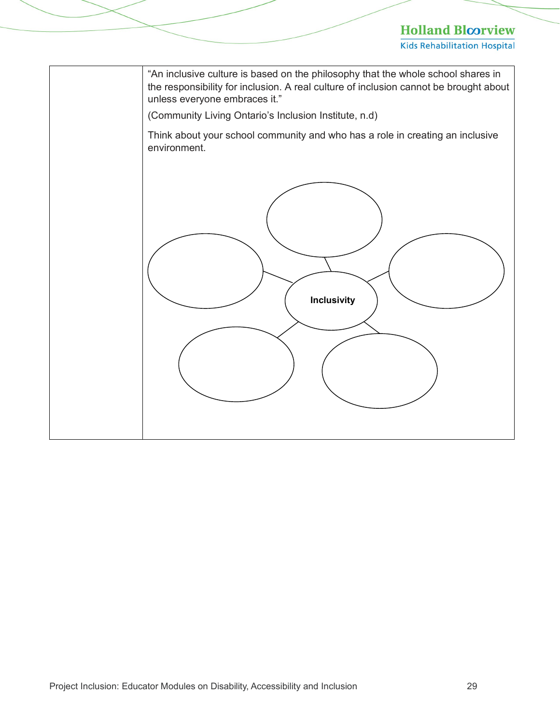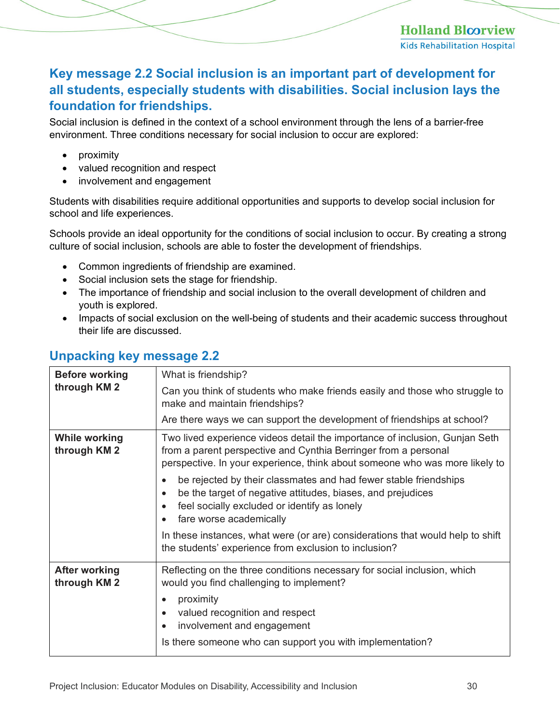**Holland Bloorview Kids Rehabilitation Hospital** 

#### <span id="page-29-0"></span>**Key message 2.2 Social inclusion is an important part of development for all students, especially students with disabilities. Social inclusion lays the foundation for friendships.**

Social inclusion is defined in the context of a school environment through the lens of a barrier-free environment. Three conditions necessary for social inclusion to occur are explored:

- proximity
- valued recognition and respect
- involvement and engagement

Students with disabilities require additional opportunities and supports to develop social inclusion for school and life experiences.

Schools provide an ideal opportunity for the conditions of social inclusion to occur. By creating a strong culture of social inclusion, schools are able to foster the development of friendships.

- Common ingredients of friendship are examined.
- Social inclusion sets the stage for friendship.
- The importance of friendship and social inclusion to the overall development of children and youth is explored.
- Impacts of social exclusion on the well-being of students and their academic success throughout their life are discussed.

#### <span id="page-29-1"></span>**Unpacking key message 2.2**

| <b>Before working</b><br>through KM 2 | What is friendship?                                                                                                                                                                                                                               |
|---------------------------------------|---------------------------------------------------------------------------------------------------------------------------------------------------------------------------------------------------------------------------------------------------|
|                                       | Can you think of students who make friends easily and those who struggle to<br>make and maintain friendships?                                                                                                                                     |
|                                       | Are there ways we can support the development of friendships at school?                                                                                                                                                                           |
| <b>While working</b><br>through KM 2  | Two lived experience videos detail the importance of inclusion, Gunjan Seth<br>from a parent perspective and Cynthia Berringer from a personal<br>perspective. In your experience, think about someone who was more likely to                     |
|                                       | be rejected by their classmates and had fewer stable friendships<br>be the target of negative attitudes, biases, and prejudices<br>$\bullet$<br>feel socially excluded or identify as lonely<br>$\bullet$<br>fare worse academically<br>$\bullet$ |
|                                       | In these instances, what were (or are) considerations that would help to shift<br>the students' experience from exclusion to inclusion?                                                                                                           |
| <b>After working</b><br>through KM 2  | Reflecting on the three conditions necessary for social inclusion, which<br>would you find challenging to implement?                                                                                                                              |
|                                       | proximity<br>$\bullet$<br>valued recognition and respect<br>$\bullet$<br>involvement and engagement<br>$\bullet$                                                                                                                                  |
|                                       | Is there someone who can support you with implementation?                                                                                                                                                                                         |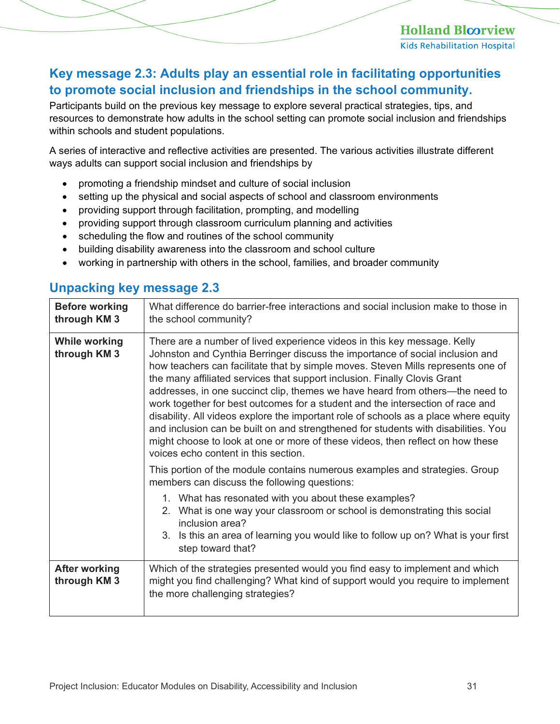#### <span id="page-30-0"></span>**Key message 2.3: Adults play an essential role in facilitating opportunities to promote social inclusion and friendships in the school community.**

Participants build on the previous key message to explore several practical strategies, tips, and resources to demonstrate how adults in the school setting can promote social inclusion and friendships within schools and student populations.

A series of interactive and reflective activities are presented. The various activities illustrate different ways adults can support social inclusion and friendships by

- promoting a friendship mindset and culture of social inclusion
- setting up the physical and social aspects of school and classroom environments
- providing support through facilitation, prompting, and modelling
- providing support through classroom curriculum planning and activities
- scheduling the flow and routines of the school community
- building disability awareness into the classroom and school culture
- working in partnership with others in the school, families, and broader community

#### <span id="page-30-1"></span>**Unpacking key message 2.3**

| <b>Before working</b><br>through KM 3 | What difference do barrier-free interactions and social inclusion make to those in<br>the school community?                                                                                                                                                                                                                                                                                                                                                                                                                                                                                                                                                                                                                                                                                                                                                                          |
|---------------------------------------|--------------------------------------------------------------------------------------------------------------------------------------------------------------------------------------------------------------------------------------------------------------------------------------------------------------------------------------------------------------------------------------------------------------------------------------------------------------------------------------------------------------------------------------------------------------------------------------------------------------------------------------------------------------------------------------------------------------------------------------------------------------------------------------------------------------------------------------------------------------------------------------|
| <b>While working</b><br>through KM 3  | There are a number of lived experience videos in this key message. Kelly<br>Johnston and Cynthia Berringer discuss the importance of social inclusion and<br>how teachers can facilitate that by simple moves. Steven Mills represents one of<br>the many affiliated services that support inclusion. Finally Clovis Grant<br>addresses, in one succinct clip, themes we have heard from others—the need to<br>work together for best outcomes for a student and the intersection of race and<br>disability. All videos explore the important role of schools as a place where equity<br>and inclusion can be built on and strengthened for students with disabilities. You<br>might choose to look at one or more of these videos, then reflect on how these<br>voices echo content in this section.<br>This portion of the module contains numerous examples and strategies. Group |
|                                       | members can discuss the following questions:                                                                                                                                                                                                                                                                                                                                                                                                                                                                                                                                                                                                                                                                                                                                                                                                                                         |
|                                       | 1. What has resonated with you about these examples?<br>2. What is one way your classroom or school is demonstrating this social<br>inclusion area?<br>3. Is this an area of learning you would like to follow up on? What is your first<br>step toward that?                                                                                                                                                                                                                                                                                                                                                                                                                                                                                                                                                                                                                        |
| <b>After working</b><br>through KM 3  | Which of the strategies presented would you find easy to implement and which<br>might you find challenging? What kind of support would you require to implement<br>the more challenging strategies?                                                                                                                                                                                                                                                                                                                                                                                                                                                                                                                                                                                                                                                                                  |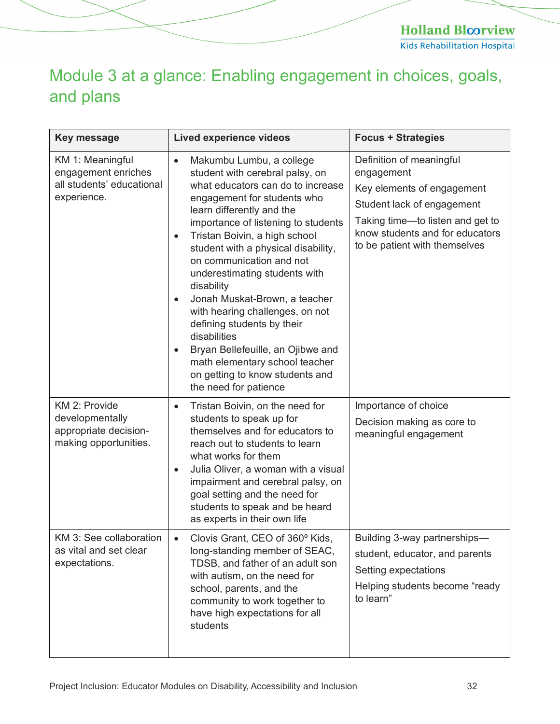**Holland Bloorview Kids Rehabilitation Hospital** 

# <span id="page-31-0"></span>Module 3 at a glance: Enabling engagement in choices, goals, and plans

| <b>Key message</b>                                                                  | <b>Lived experience videos</b>                                                                                                                                                                                                                                                                                                                                                                                                                                                                                                                                                                                                                                  | <b>Focus + Strategies</b>                                                                                                                                                                                  |
|-------------------------------------------------------------------------------------|-----------------------------------------------------------------------------------------------------------------------------------------------------------------------------------------------------------------------------------------------------------------------------------------------------------------------------------------------------------------------------------------------------------------------------------------------------------------------------------------------------------------------------------------------------------------------------------------------------------------------------------------------------------------|------------------------------------------------------------------------------------------------------------------------------------------------------------------------------------------------------------|
| KM 1: Meaningful<br>engagement enriches<br>all students' educational<br>experience. | Makumbu Lumbu, a college<br>$\bullet$<br>student with cerebral palsy, on<br>what educators can do to increase<br>engagement for students who<br>learn differently and the<br>importance of listening to students<br>Tristan Boivin, a high school<br>$\bullet$<br>student with a physical disability,<br>on communication and not<br>underestimating students with<br>disability<br>Jonah Muskat-Brown, a teacher<br>$\bullet$<br>with hearing challenges, on not<br>defining students by their<br>disabilities<br>Bryan Bellefeuille, an Ojibwe and<br>$\bullet$<br>math elementary school teacher<br>on getting to know students and<br>the need for patience | Definition of meaningful<br>engagement<br>Key elements of engagement<br>Student lack of engagement<br>Taking time—to listen and get to<br>know students and for educators<br>to be patient with themselves |
| KM 2: Provide<br>developmentally<br>appropriate decision-<br>making opportunities.  | Tristan Boivin, on the need for<br>$\bullet$<br>students to speak up for<br>themselves and for educators to<br>reach out to students to learn<br>what works for them<br>Julia Oliver, a woman with a visual<br>$\bullet$<br>impairment and cerebral palsy, on<br>goal setting and the need for<br>students to speak and be heard<br>as experts in their own life                                                                                                                                                                                                                                                                                                | Importance of choice<br>Decision making as core to<br>meaningful engagement                                                                                                                                |
| KM 3: See collaboration<br>as vital and set clear<br>expectations.                  | Clovis Grant, CEO of 360° Kids,<br>long-standing member of SEAC,<br>TDSB, and father of an adult son<br>with autism, on the need for<br>school, parents, and the<br>community to work together to<br>have high expectations for all<br>students                                                                                                                                                                                                                                                                                                                                                                                                                 | Building 3-way partnerships-<br>student, educator, and parents<br>Setting expectations<br>Helping students become "ready<br>to learn"                                                                      |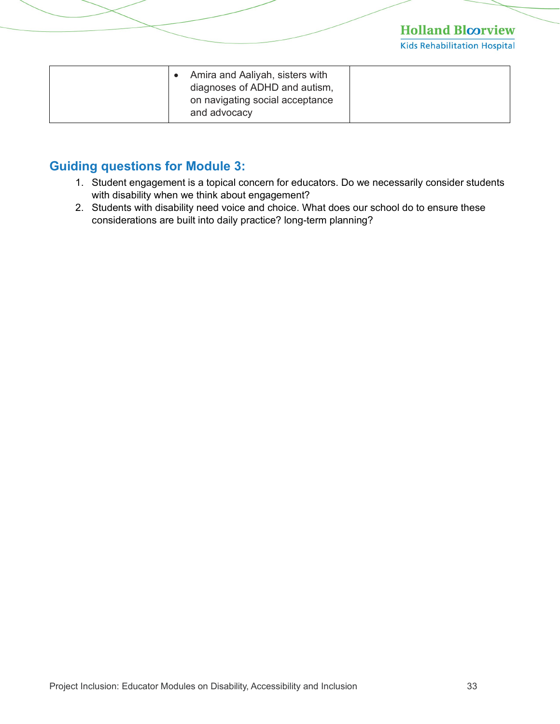**Kids Rehabilitation Hospital** 

| Amira and Aaliyah, sisters with<br>diagnoses of ADHD and autism, |  |
|------------------------------------------------------------------|--|
| on navigating social acceptance<br>and advocacy                  |  |

#### <span id="page-32-0"></span>**Guiding questions for Module 3:**

- 1. Student engagement is a topical concern for educators. Do we necessarily consider students with disability when we think about engagement?
- 2. Students with disability need voice and choice. What does our school do to ensure these considerations are built into daily practice? long-term planning?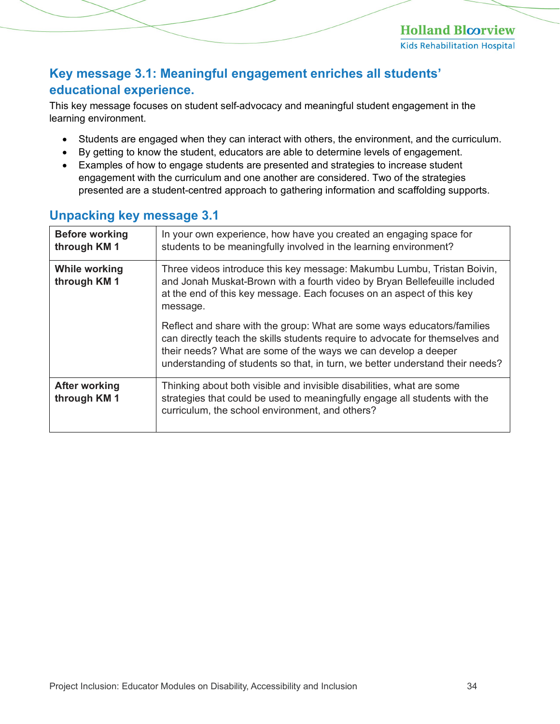#### <span id="page-33-0"></span>**Key message 3.1: Meaningful engagement enriches all students' educational experience.**

This key message focuses on student self-advocacy and meaningful student engagement in the learning environment.

- Students are engaged when they can interact with others, the environment, and the curriculum.
- By getting to know the student, educators are able to determine levels of engagement.
- Examples of how to engage students are presented and strategies to increase student engagement with the curriculum and one another are considered. Two of the strategies presented are a student-centred approach to gathering information and scaffolding supports.

| <b>Before working</b><br>through KM 1 | In your own experience, how have you created an engaging space for<br>students to be meaningfully involved in the learning environment?                                                                                                                                                                     |
|---------------------------------------|-------------------------------------------------------------------------------------------------------------------------------------------------------------------------------------------------------------------------------------------------------------------------------------------------------------|
| <b>While working</b><br>through KM 1  | Three videos introduce this key message: Makumbu Lumbu, Tristan Boivin,<br>and Jonah Muskat-Brown with a fourth video by Bryan Bellefeuille included<br>at the end of this key message. Each focuses on an aspect of this key<br>message.                                                                   |
|                                       | Reflect and share with the group: What are some ways educators/families<br>can directly teach the skills students require to advocate for themselves and<br>their needs? What are some of the ways we can develop a deeper<br>understanding of students so that, in turn, we better understand their needs? |
| <b>After working</b><br>through KM 1  | Thinking about both visible and invisible disabilities, what are some<br>strategies that could be used to meaningfully engage all students with the<br>curriculum, the school environment, and others?                                                                                                      |

#### <span id="page-33-1"></span>**Unpacking key message 3.1**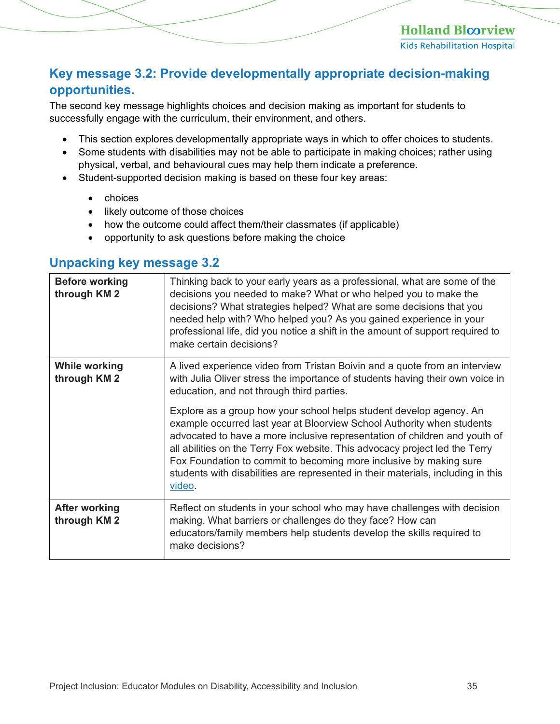#### <span id="page-34-0"></span>**Key message 3.2: Provide developmentally appropriate decision-making opportunities.**

The second key message highlights choices and decision making as important for students to successfully engage with the curriculum, their environment, and others.

- This section explores developmentally appropriate ways in which to offer choices to students.
- Some students with disabilities may not be able to participate in making choices; rather using physical, verbal, and behavioural cues may help them indicate a preference.
- Student-supported decision making is based on these four key areas:
	- choices
	- likely outcome of those choices
	- how the outcome could affect them/their classmates (if applicable)
	- opportunity to ask questions before making the choice

#### <span id="page-34-1"></span>**Unpacking key message 3.2**

| <b>Before working</b><br>through KM 2 | Thinking back to your early years as a professional, what are some of the<br>decisions you needed to make? What or who helped you to make the<br>decisions? What strategies helped? What are some decisions that you<br>needed help with? Who helped you? As you gained experience in your<br>professional life, did you notice a shift in the amount of support required to<br>make certain decisions?                                                                                                                                                                                                                                                                                    |
|---------------------------------------|--------------------------------------------------------------------------------------------------------------------------------------------------------------------------------------------------------------------------------------------------------------------------------------------------------------------------------------------------------------------------------------------------------------------------------------------------------------------------------------------------------------------------------------------------------------------------------------------------------------------------------------------------------------------------------------------|
| <b>While working</b><br>through KM 2  | A lived experience video from Tristan Boivin and a quote from an interview<br>with Julia Oliver stress the importance of students having their own voice in<br>education, and not through third parties.<br>Explore as a group how your school helps student develop agency. An<br>example occurred last year at Bloorview School Authority when students<br>advocated to have a more inclusive representation of children and youth of<br>all abilities on the Terry Fox website. This advocacy project led the Terry<br>Fox Foundation to commit to becoming more inclusive by making sure<br>students with disabilities are represented in their materials, including in this<br>video. |
| <b>After working</b><br>through KM 2  | Reflect on students in your school who may have challenges with decision<br>making. What barriers or challenges do they face? How can<br>educators/family members help students develop the skills required to<br>make decisions?                                                                                                                                                                                                                                                                                                                                                                                                                                                          |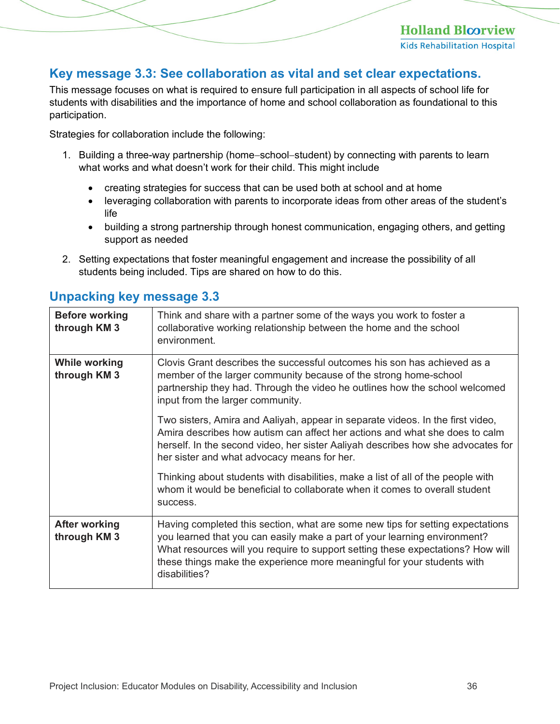#### <span id="page-35-0"></span>**Key message 3.3: See collaboration as vital and set clear expectations.**

This message focuses on what is required to ensure full participation in all aspects of school life for students with disabilities and the importance of home and school collaboration as foundational to this participation.

Strategies for collaboration include the following:

- 1. Building a three-way partnership (home−school−student) by connecting with parents to learn what works and what doesn't work for their child. This might include
	- creating strategies for success that can be used both at school and at home
	- leveraging collaboration with parents to incorporate ideas from other areas of the student's life
	- building a strong partnership through honest communication, engaging others, and getting support as needed
- 2. Setting expectations that foster meaningful engagement and increase the possibility of all students being included. Tips are shared on how to do this.

| <b>Before working</b><br>through KM 3 | Think and share with a partner some of the ways you work to foster a<br>collaborative working relationship between the home and the school<br>environment.                                                                                                                                                                                 |
|---------------------------------------|--------------------------------------------------------------------------------------------------------------------------------------------------------------------------------------------------------------------------------------------------------------------------------------------------------------------------------------------|
| <b>While working</b><br>through KM 3  | Clovis Grant describes the successful outcomes his son has achieved as a<br>member of the larger community because of the strong home-school<br>partnership they had. Through the video he outlines how the school welcomed<br>input from the larger community.                                                                            |
|                                       | Two sisters, Amira and Aaliyah, appear in separate videos. In the first video,<br>Amira describes how autism can affect her actions and what she does to calm<br>herself. In the second video, her sister Aaliyah describes how she advocates for<br>her sister and what advocacy means for her.                                           |
|                                       | Thinking about students with disabilities, make a list of all of the people with<br>whom it would be beneficial to collaborate when it comes to overall student<br>success.                                                                                                                                                                |
| <b>After working</b><br>through KM 3  | Having completed this section, what are some new tips for setting expectations<br>you learned that you can easily make a part of your learning environment?<br>What resources will you require to support setting these expectations? How will<br>these things make the experience more meaningful for your students with<br>disabilities? |

#### <span id="page-35-1"></span>**Unpacking key message 3.3**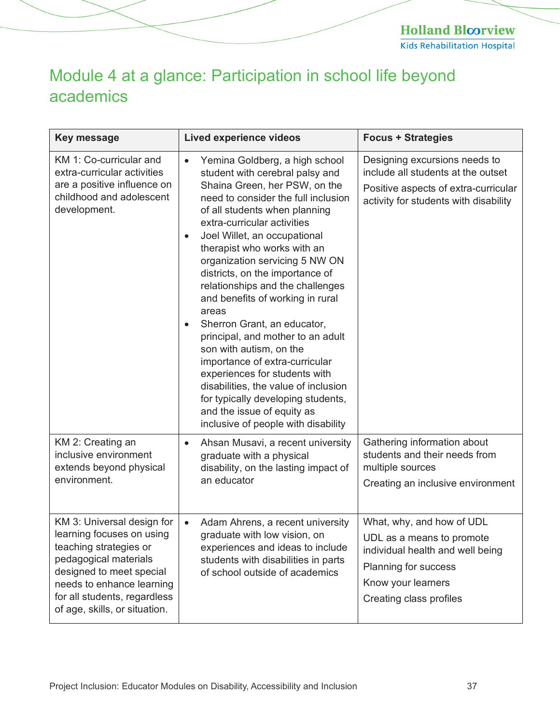**Holland Bloorview** Kids Rehabilitation Hospital

# <span id="page-36-0"></span>Module 4 at a glance: Participation in school life beyond academics

| <b>Key message</b>                                                                                                                                                                                                                   | <b>Lived experience videos</b>                                                                                                                                                                                                                                                                                                                                                                                                                                                                                                                                                                                                                                                                                                                                   | <b>Focus + Strategies</b>                                                                                                                                           |
|--------------------------------------------------------------------------------------------------------------------------------------------------------------------------------------------------------------------------------------|------------------------------------------------------------------------------------------------------------------------------------------------------------------------------------------------------------------------------------------------------------------------------------------------------------------------------------------------------------------------------------------------------------------------------------------------------------------------------------------------------------------------------------------------------------------------------------------------------------------------------------------------------------------------------------------------------------------------------------------------------------------|---------------------------------------------------------------------------------------------------------------------------------------------------------------------|
| KM 1: Co-curricular and<br>extra-curricular activities<br>are a positive influence on<br>childhood and adolescent<br>development.                                                                                                    | Yemina Goldberg, a high school<br>student with cerebral palsy and<br>Shaina Green, her PSW, on the<br>need to consider the full inclusion<br>of all students when planning<br>extra-curricular activities<br>Joel Willet, an occupational<br>$\bullet$<br>therapist who works with an<br>organization servicing 5 NW ON<br>districts, on the importance of<br>relationships and the challenges<br>and benefits of working in rural<br>areas<br>Sherron Grant, an educator,<br>principal, and mother to an adult<br>son with autism, on the<br>importance of extra-curricular<br>experiences for students with<br>disabilities, the value of inclusion<br>for typically developing students,<br>and the issue of equity as<br>inclusive of people with disability | Designing excursions needs to<br>include all students at the outset<br>Positive aspects of extra-curricular<br>activity for students with disability                |
| KM 2: Creating an<br>inclusive environment<br>extends beyond physical<br>environment.                                                                                                                                                | Ahsan Musavi, a recent university<br>$\bullet$<br>graduate with a physical<br>disability, on the lasting impact of<br>an educator                                                                                                                                                                                                                                                                                                                                                                                                                                                                                                                                                                                                                                | Gathering information about<br>students and their needs from<br>multiple sources<br>Creating an inclusive environment                                               |
| KM 3: Universal design for<br>learning focuses on using<br>teaching strategies or<br>pedagogical materials<br>designed to meet special<br>needs to enhance learning<br>for all students, regardless<br>of age, skills, or situation. | Adam Ahrens, a recent university<br>graduate with low vision, on<br>experiences and ideas to include<br>students with disabilities in parts<br>of school outside of academics                                                                                                                                                                                                                                                                                                                                                                                                                                                                                                                                                                                    | What, why, and how of UDL<br>UDL as a means to promote<br>individual health and well being<br>Planning for success<br>Know your learners<br>Creating class profiles |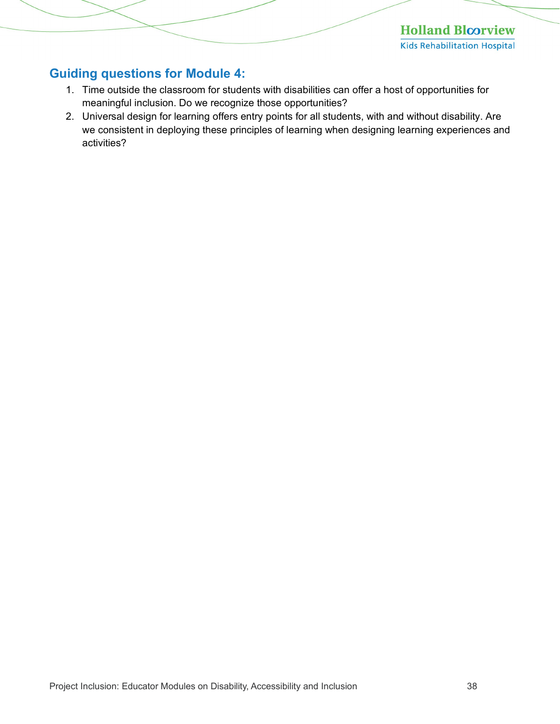**Holland Bloorview Kids Rehabilitation Hospital** 

#### <span id="page-37-0"></span>**Guiding questions for Module 4:**

- 1. Time outside the classroom for students with disabilities can offer a host of opportunities for meaningful inclusion. Do we recognize those opportunities?
- 2. Universal design for learning offers entry points for all students, with and without disability. Are we consistent in deploying these principles of learning when designing learning experiences and activities?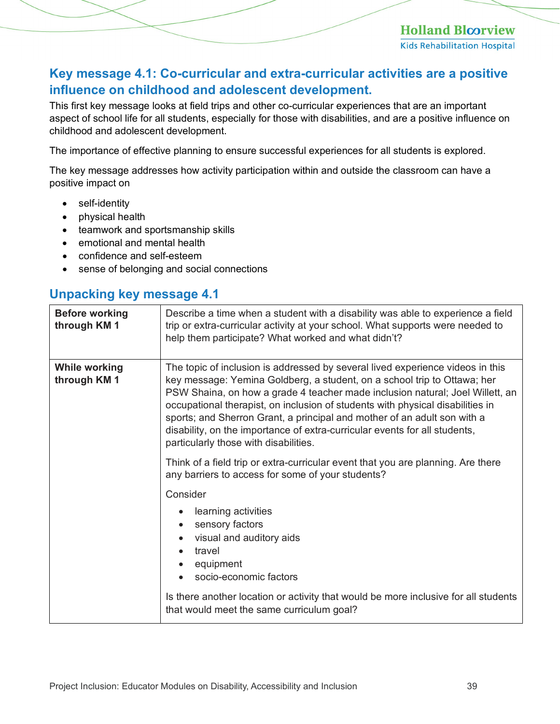#### <span id="page-38-0"></span>**Key message 4.1: Co-curricular and extra-curricular activities are a positive influence on childhood and adolescent development.**

This first key message looks at field trips and other co-curricular experiences that are an important aspect of school life for all students, especially for those with disabilities, and are a positive influence on childhood and adolescent development.

The importance of effective planning to ensure successful experiences for all students is explored.

The key message addresses how activity participation within and outside the classroom can have a positive impact on

- self-identity
- physical health
- teamwork and sportsmanship skills
- emotional and mental health
- confidence and self-esteem
- sense of belonging and social connections

#### <span id="page-38-1"></span>**Unpacking key message 4.1**

| <b>Before working</b><br>through KM 1 | Describe a time when a student with a disability was able to experience a field<br>trip or extra-curricular activity at your school. What supports were needed to<br>help them participate? What worked and what didn't?                                                                                                                                                                                                                                                                                                         |
|---------------------------------------|----------------------------------------------------------------------------------------------------------------------------------------------------------------------------------------------------------------------------------------------------------------------------------------------------------------------------------------------------------------------------------------------------------------------------------------------------------------------------------------------------------------------------------|
| <b>While working</b><br>through KM 1  | The topic of inclusion is addressed by several lived experience videos in this<br>key message: Yemina Goldberg, a student, on a school trip to Ottawa; her<br>PSW Shaina, on how a grade 4 teacher made inclusion natural; Joel Willett, an<br>occupational therapist, on inclusion of students with physical disabilities in<br>sports; and Sherron Grant, a principal and mother of an adult son with a<br>disability, on the importance of extra-curricular events for all students,<br>particularly those with disabilities. |
|                                       | Think of a field trip or extra-curricular event that you are planning. Are there<br>any barriers to access for some of your students?                                                                                                                                                                                                                                                                                                                                                                                            |
|                                       | Consider                                                                                                                                                                                                                                                                                                                                                                                                                                                                                                                         |
|                                       | learning activities<br>sensory factors<br>$\bullet$<br>visual and auditory aids<br>$\bullet$<br>travel<br>equipment<br>socio-economic factors<br>Is there another location or activity that would be more inclusive for all students<br>that would meet the same curriculum goal?                                                                                                                                                                                                                                                |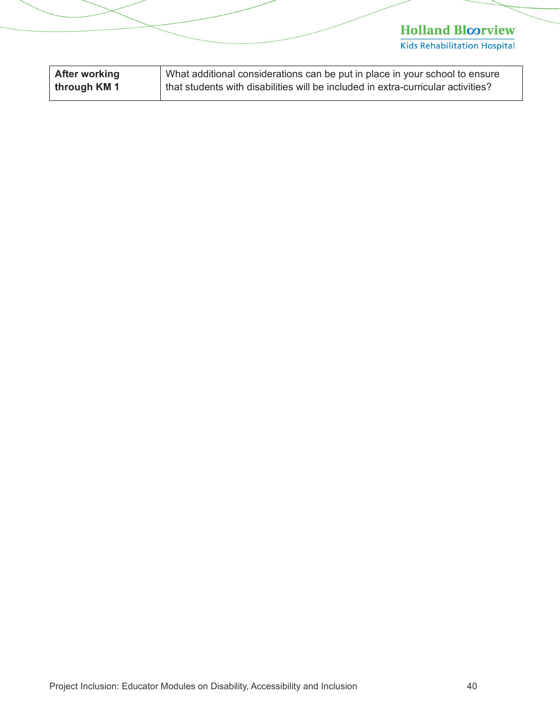| <b>After working</b> | What additional considerations can be put in place in your school to ensure      |
|----------------------|----------------------------------------------------------------------------------|
| through KM 1         | that students with disabilities will be included in extra-curricular activities? |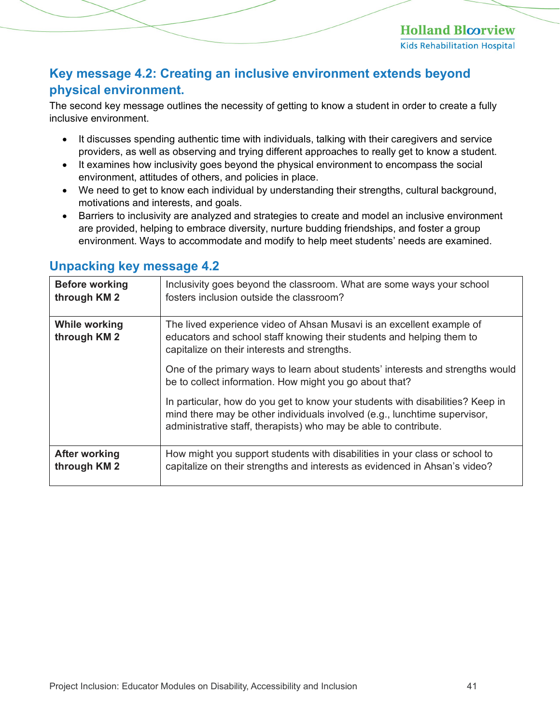#### <span id="page-40-0"></span>**Key message 4.2: Creating an inclusive environment extends beyond physical environment.**

The second key message outlines the necessity of getting to know a student in order to create a fully inclusive environment.

- It discusses spending authentic time with individuals, talking with their caregivers and service providers, as well as observing and trying different approaches to really get to know a student.
- It examines how inclusivity goes beyond the physical environment to encompass the social environment, attitudes of others, and policies in place.
- We need to get to know each individual by understanding their strengths, cultural background, motivations and interests, and goals.
- Barriers to inclusivity are analyzed and strategies to create and model an inclusive environment are provided, helping to embrace diversity, nurture budding friendships, and foster a group environment. Ways to accommodate and modify to help meet students' needs are examined.

| <b>Before working</b><br>through KM 2 | Inclusivity goes beyond the classroom. What are some ways your school<br>fosters inclusion outside the classroom?                                                                                                               |
|---------------------------------------|---------------------------------------------------------------------------------------------------------------------------------------------------------------------------------------------------------------------------------|
| <b>While working</b><br>through KM 2  | The lived experience video of Ahsan Musavi is an excellent example of<br>educators and school staff knowing their students and helping them to<br>capitalize on their interests and strengths.                                  |
|                                       | One of the primary ways to learn about students' interests and strengths would<br>be to collect information. How might you go about that?                                                                                       |
|                                       | In particular, how do you get to know your students with disabilities? Keep in<br>mind there may be other individuals involved (e.g., lunchtime supervisor,<br>administrative staff, therapists) who may be able to contribute. |
| <b>After working</b><br>through KM 2  | How might you support students with disabilities in your class or school to<br>capitalize on their strengths and interests as evidenced in Ahsan's video?                                                                       |

#### <span id="page-40-1"></span>**Unpacking key message 4.2**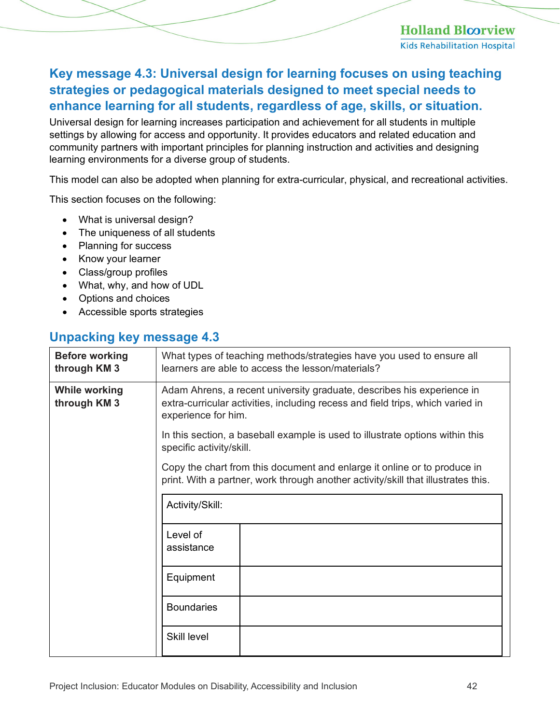### <span id="page-41-0"></span>**Key message 4.3: Universal design for learning focuses on using teaching strategies or pedagogical materials designed to meet special needs to enhance learning for all students, regardless of age, skills, or situation.**

Universal design for learning increases participation and achievement for all students in multiple settings by allowing for access and opportunity. It provides educators and related education and community partners with important principles for planning instruction and activities and designing learning environments for a diverse group of students.

This model can also be adopted when planning for extra-curricular, physical, and recreational activities.

This section focuses on the following:

- What is universal design?
- The uniqueness of all students
- Planning for success
- Know your learner
- Class/group profiles
- What, why, and how of UDL
- Options and choices
- Accessible sports strategies

#### <span id="page-41-1"></span>**Unpacking key message 4.3**

| <b>Before working</b><br>through KM 3 | What types of teaching methods/strategies have you used to ensure all<br>learners are able to access the lesson/materials?                                                      |  |  |
|---------------------------------------|---------------------------------------------------------------------------------------------------------------------------------------------------------------------------------|--|--|
| <b>While working</b><br>through KM 3  | Adam Ahrens, a recent university graduate, describes his experience in<br>extra-curricular activities, including recess and field trips, which varied in<br>experience for him. |  |  |
|                                       | In this section, a baseball example is used to illustrate options within this<br>specific activity/skill.                                                                       |  |  |
|                                       | Copy the chart from this document and enlarge it online or to produce in<br>print. With a partner, work through another activity/skill that illustrates this.                   |  |  |
|                                       | Activity/Skill:                                                                                                                                                                 |  |  |
|                                       | Level of<br>assistance                                                                                                                                                          |  |  |
|                                       | Equipment                                                                                                                                                                       |  |  |
|                                       | <b>Boundaries</b>                                                                                                                                                               |  |  |
|                                       | <b>Skill level</b>                                                                                                                                                              |  |  |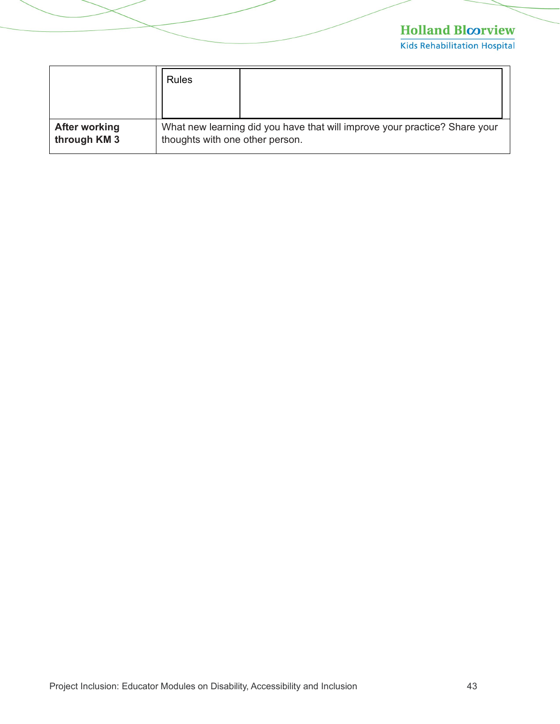|                      | Rules                                                                      |  |
|----------------------|----------------------------------------------------------------------------|--|
| <b>After working</b> | What new learning did you have that will improve your practice? Share your |  |
| through KM 3         | thoughts with one other person.                                            |  |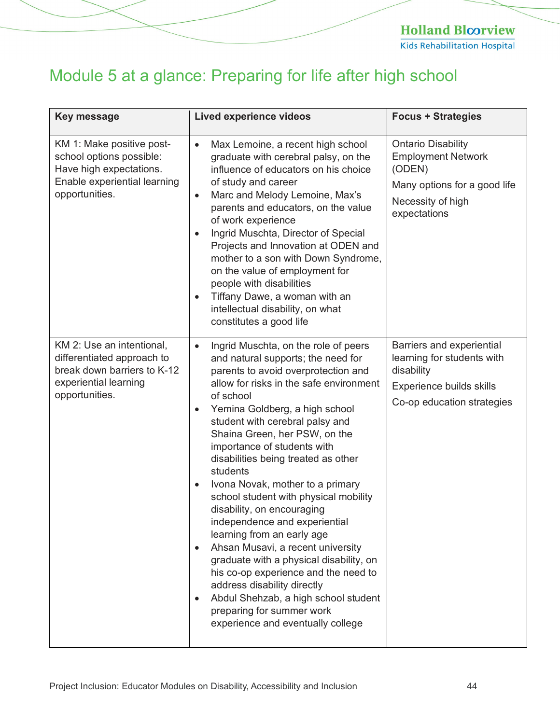# <span id="page-43-0"></span>Module 5 at a glance: Preparing for life after high school

| <b>Key message</b>                                                                                                                 | <b>Lived experience videos</b>                                                                                                                                                                                                                                                                                                                                                                                                                                                                                                                                                                                                                                                                                                                                                                                                                                                | <b>Focus + Strategies</b>                                                                                                             |
|------------------------------------------------------------------------------------------------------------------------------------|-------------------------------------------------------------------------------------------------------------------------------------------------------------------------------------------------------------------------------------------------------------------------------------------------------------------------------------------------------------------------------------------------------------------------------------------------------------------------------------------------------------------------------------------------------------------------------------------------------------------------------------------------------------------------------------------------------------------------------------------------------------------------------------------------------------------------------------------------------------------------------|---------------------------------------------------------------------------------------------------------------------------------------|
| KM 1: Make positive post-<br>school options possible:<br>Have high expectations.<br>Enable experiential learning<br>opportunities. | Max Lemoine, a recent high school<br>$\bullet$<br>graduate with cerebral palsy, on the<br>influence of educators on his choice<br>of study and career<br>Marc and Melody Lemoine, Max's<br>$\bullet$<br>parents and educators, on the value<br>of work experience<br>Ingrid Muschta, Director of Special<br>$\bullet$<br>Projects and Innovation at ODEN and<br>mother to a son with Down Syndrome,<br>on the value of employment for<br>people with disabilities<br>Tiffany Dawe, a woman with an<br>$\bullet$<br>intellectual disability, on what<br>constitutes a good life                                                                                                                                                                                                                                                                                                | <b>Ontario Disability</b><br><b>Employment Network</b><br>(ODEN)<br>Many options for a good life<br>Necessity of high<br>expectations |
| KM 2: Use an intentional,<br>differentiated approach to<br>break down barriers to K-12<br>experiential learning<br>opportunities.  | Ingrid Muschta, on the role of peers<br>$\bullet$<br>and natural supports; the need for<br>parents to avoid overprotection and<br>allow for risks in the safe environment<br>of school<br>Yemina Goldberg, a high school<br>$\bullet$<br>student with cerebral palsy and<br>Shaina Green, her PSW, on the<br>importance of students with<br>disabilities being treated as other<br>students<br>Ivona Novak, mother to a primary<br>$\bullet$<br>school student with physical mobility<br>disability, on encouraging<br>independence and experiential<br>learning from an early age<br>Ahsan Musavi, a recent university<br>$\bullet$<br>graduate with a physical disability, on<br>his co-op experience and the need to<br>address disability directly<br>Abdul Shehzab, a high school student<br>$\bullet$<br>preparing for summer work<br>experience and eventually college | Barriers and experiential<br>learning for students with<br>disability<br>Experience builds skills<br>Co-op education strategies       |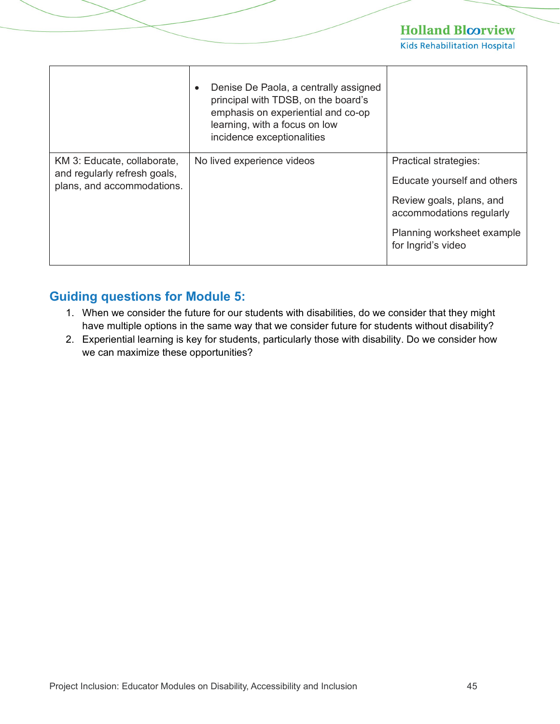**Kids Rehabilitation Hospital** 

|                                                                                           | Denise De Paola, a centrally assigned<br>principal with TDSB, on the board's<br>emphasis on experiential and co-op<br>learning, with a focus on low<br>incidence exceptionalities |                                                                                                                                                                         |
|-------------------------------------------------------------------------------------------|-----------------------------------------------------------------------------------------------------------------------------------------------------------------------------------|-------------------------------------------------------------------------------------------------------------------------------------------------------------------------|
| KM 3: Educate, collaborate,<br>and regularly refresh goals,<br>plans, and accommodations. | No lived experience videos                                                                                                                                                        | <b>Practical strategies:</b><br>Educate yourself and others<br>Review goals, plans, and<br>accommodations regularly<br>Planning worksheet example<br>for Ingrid's video |

#### <span id="page-44-0"></span>**Guiding questions for Module 5:**

- 1. When we consider the future for our students with disabilities, do we consider that they might have multiple options in the same way that we consider future for students without disability?
- 2. Experiential learning is key for students, particularly those with disability. Do we consider how we can maximize these opportunities?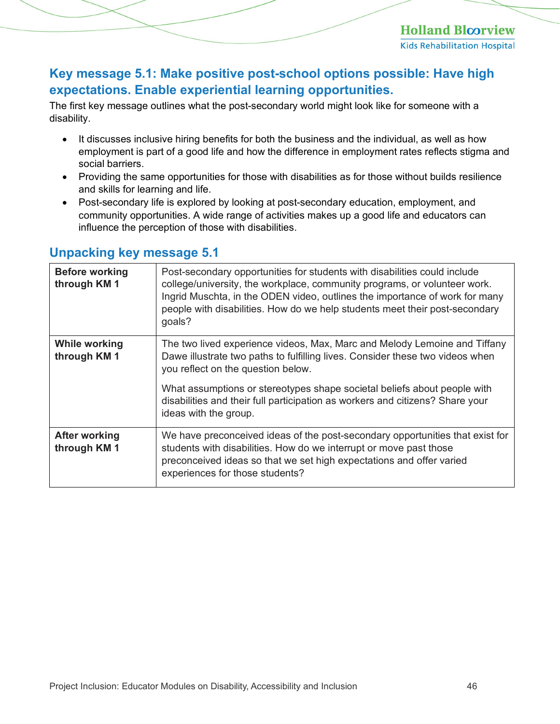#### <span id="page-45-0"></span>**Key message 5.1: Make positive post-school options possible: Have high expectations. Enable experiential learning opportunities.**

The first key message outlines what the post-secondary world might look like for someone with a disability.

- It discusses inclusive hiring benefits for both the business and the individual, as well as how employment is part of a good life and how the difference in employment rates reflects stigma and social barriers.
- Providing the same opportunities for those with disabilities as for those without builds resilience and skills for learning and life.
- Post-secondary life is explored by looking at post-secondary education, employment, and community opportunities. A wide range of activities makes up a good life and educators can influence the perception of those with disabilities.

| <b>Before working</b><br>through KM 1 | Post-secondary opportunities for students with disabilities could include<br>college/university, the workplace, community programs, or volunteer work.<br>Ingrid Muschta, in the ODEN video, outlines the importance of work for many<br>people with disabilities. How do we help students meet their post-secondary<br>goals?                                                         |
|---------------------------------------|----------------------------------------------------------------------------------------------------------------------------------------------------------------------------------------------------------------------------------------------------------------------------------------------------------------------------------------------------------------------------------------|
| <b>While working</b><br>through KM 1  | The two lived experience videos, Max, Marc and Melody Lemoine and Tiffany<br>Dawe illustrate two paths to fulfilling lives. Consider these two videos when<br>you reflect on the question below.<br>What assumptions or stereotypes shape societal beliefs about people with<br>disabilities and their full participation as workers and citizens? Share your<br>ideas with the group. |
| <b>After working</b><br>through KM 1  | We have preconceived ideas of the post-secondary opportunities that exist for<br>students with disabilities. How do we interrupt or move past those<br>preconceived ideas so that we set high expectations and offer varied<br>experiences for those students?                                                                                                                         |

#### <span id="page-45-1"></span>**Unpacking key message 5.1**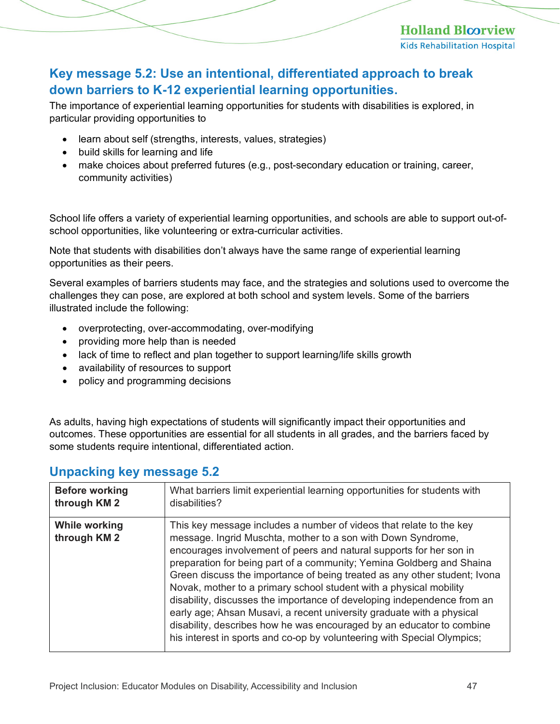#### <span id="page-46-0"></span>**Key message 5.2: Use an intentional, differentiated approach to break down barriers to K-12 experiential learning opportunities.**

The importance of experiential learning opportunities for students with disabilities is explored, in particular providing opportunities to

- learn about self (strengths, interests, values, strategies)
- build skills for learning and life
- make choices about preferred futures (e.g., post-secondary education or training, career, community activities)

School life offers a variety of experiential learning opportunities, and schools are able to support out-ofschool opportunities, like volunteering or extra-curricular activities.

Note that students with disabilities don't always have the same range of experiential learning opportunities as their peers.

Several examples of barriers students may face, and the strategies and solutions used to overcome the challenges they can pose, are explored at both school and system levels. Some of the barriers illustrated include the following:

- overprotecting, over-accommodating, over-modifying
- providing more help than is needed
- lack of time to reflect and plan together to support learning/life skills growth
- availability of resources to support
- policy and programming decisions

As adults, having high expectations of students will significantly impact their opportunities and outcomes. These opportunities are essential for all students in all grades, and the barriers faced by some students require intentional, differentiated action.

| <b>Before working</b><br>through KM 2 | What barriers limit experiential learning opportunities for students with<br>disabilities?                                                                                                                                                                                                                                                                                                                                                                                                                                                                                                                                                                                                                                                     |
|---------------------------------------|------------------------------------------------------------------------------------------------------------------------------------------------------------------------------------------------------------------------------------------------------------------------------------------------------------------------------------------------------------------------------------------------------------------------------------------------------------------------------------------------------------------------------------------------------------------------------------------------------------------------------------------------------------------------------------------------------------------------------------------------|
| <b>While working</b><br>through KM 2  | This key message includes a number of videos that relate to the key<br>message. Ingrid Muschta, mother to a son with Down Syndrome,<br>encourages involvement of peers and natural supports for her son in<br>preparation for being part of a community; Yemina Goldberg and Shaina<br>Green discuss the importance of being treated as any other student; Ivona<br>Novak, mother to a primary school student with a physical mobility<br>disability, discusses the importance of developing independence from an<br>early age; Ahsan Musavi, a recent university graduate with a physical<br>disability, describes how he was encouraged by an educator to combine<br>his interest in sports and co-op by volunteering with Special Olympics; |

#### <span id="page-46-1"></span>**Unpacking key message 5.2**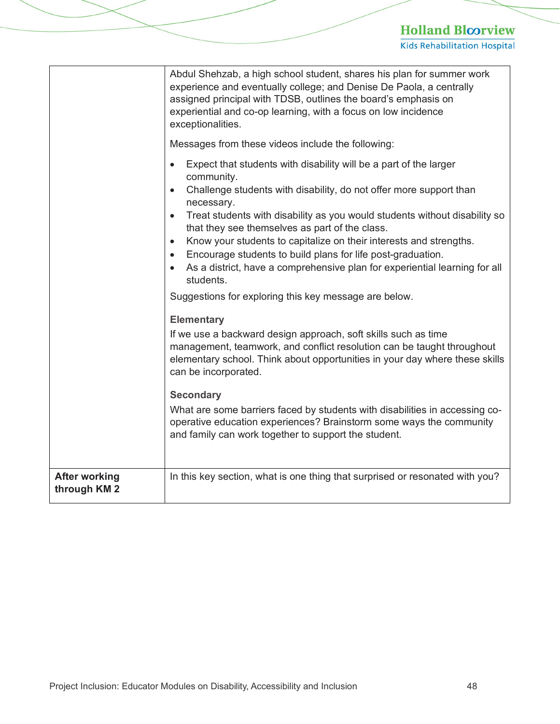|                                      | Abdul Shehzab, a high school student, shares his plan for summer work<br>experience and eventually college; and Denise De Paola, a centrally<br>assigned principal with TDSB, outlines the board's emphasis on<br>experiential and co-op learning, with a focus on low incidence<br>exceptionalities.<br>Messages from these videos include the following:<br>Expect that students with disability will be a part of the larger<br>$\bullet$<br>community.<br>Challenge students with disability, do not offer more support than<br>$\bullet$<br>necessary.<br>Treat students with disability as you would students without disability so<br>$\bullet$<br>that they see themselves as part of the class.<br>Know your students to capitalize on their interests and strengths.<br>$\bullet$<br>Encourage students to build plans for life post-graduation.<br>$\bullet$<br>As a district, have a comprehensive plan for experiential learning for all<br>students.<br>Suggestions for exploring this key message are below.<br><b>Elementary</b><br>If we use a backward design approach, soft skills such as time<br>management, teamwork, and conflict resolution can be taught throughout<br>elementary school. Think about opportunities in your day where these skills |
|--------------------------------------|-----------------------------------------------------------------------------------------------------------------------------------------------------------------------------------------------------------------------------------------------------------------------------------------------------------------------------------------------------------------------------------------------------------------------------------------------------------------------------------------------------------------------------------------------------------------------------------------------------------------------------------------------------------------------------------------------------------------------------------------------------------------------------------------------------------------------------------------------------------------------------------------------------------------------------------------------------------------------------------------------------------------------------------------------------------------------------------------------------------------------------------------------------------------------------------------------------------------------------------------------------------------------------|
|                                      | can be incorporated.                                                                                                                                                                                                                                                                                                                                                                                                                                                                                                                                                                                                                                                                                                                                                                                                                                                                                                                                                                                                                                                                                                                                                                                                                                                        |
|                                      | <b>Secondary</b><br>What are some barriers faced by students with disabilities in accessing co-<br>operative education experiences? Brainstorm some ways the community<br>and family can work together to support the student.                                                                                                                                                                                                                                                                                                                                                                                                                                                                                                                                                                                                                                                                                                                                                                                                                                                                                                                                                                                                                                              |
| <b>After working</b><br>through KM 2 | In this key section, what is one thing that surprised or resonated with you?                                                                                                                                                                                                                                                                                                                                                                                                                                                                                                                                                                                                                                                                                                                                                                                                                                                                                                                                                                                                                                                                                                                                                                                                |